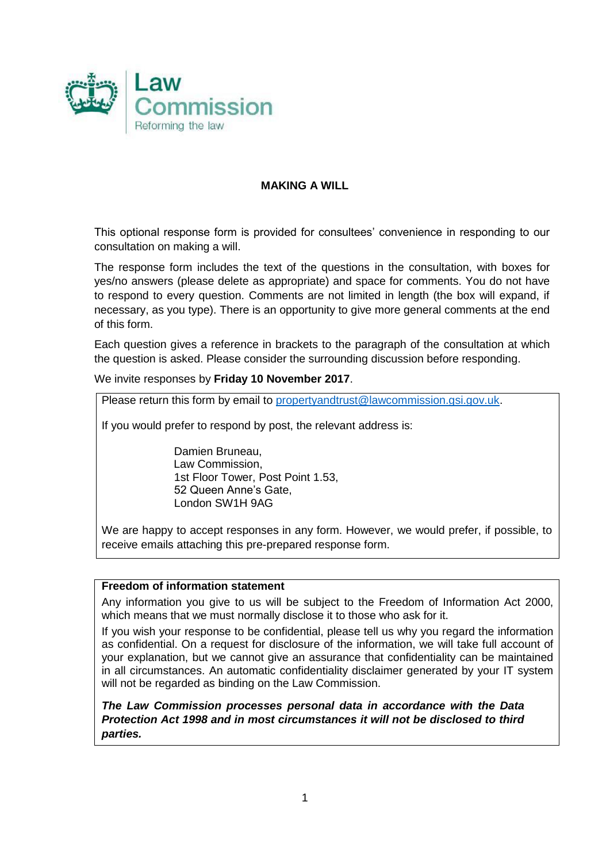

#### **MAKING A WILL**

This optional response form is provided for consultees' convenience in responding to our consultation on making a will.

The response form includes the text of the questions in the consultation, with boxes for yes/no answers (please delete as appropriate) and space for comments. You do not have to respond to every question. Comments are not limited in length (the box will expand, if necessary, as you type). There is an opportunity to give more general comments at the end of this form.

Each question gives a reference in brackets to the paragraph of the consultation at which the question is asked. Please consider the surrounding discussion before responding.

We invite responses by **Friday 10 November 2017**.

Please return this form by email to [propertyandtrust@lawcommission.gsi.gov.uk.](mailto:propertyandtrust@lawcommission.gsi.gov.uk)

If you would prefer to respond by post, the relevant address is:

Damien Bruneau, Law Commission, 1st Floor Tower, Post Point 1.53, 52 Queen Anne's Gate, London SW1H 9AG

We are happy to accept responses in any form. However, we would prefer, if possible, to receive emails attaching this pre-prepared response form.

#### **Freedom of information statement**

Any information you give to us will be subject to the Freedom of Information Act 2000, which means that we must normally disclose it to those who ask for it.

If you wish your response to be confidential, please tell us why you regard the information as confidential. On a request for disclosure of the information, we will take full account of your explanation, but we cannot give an assurance that confidentiality can be maintained in all circumstances. An automatic confidentiality disclaimer generated by your IT system will not be regarded as binding on the Law Commission.

*The Law Commission processes personal data in accordance with the Data Protection Act 1998 and in most circumstances it will not be disclosed to third parties.*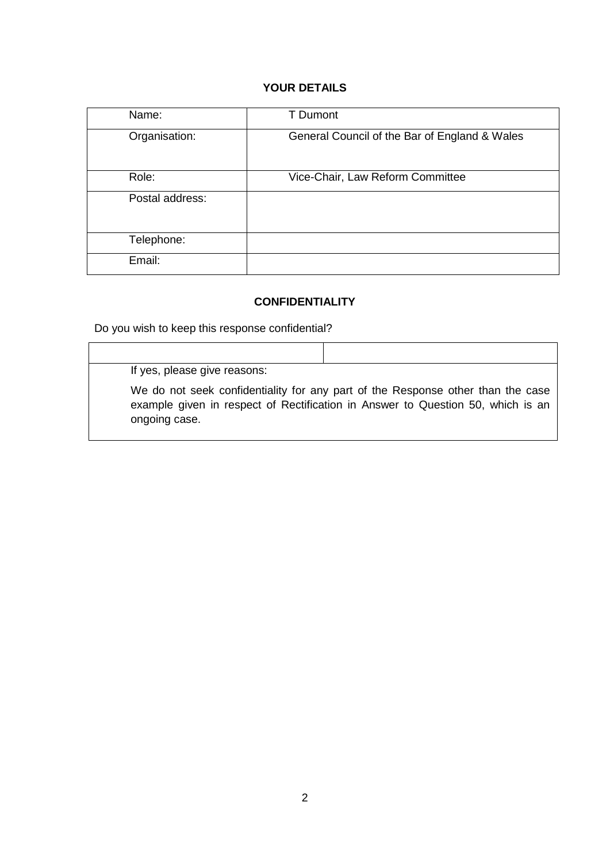### **YOUR DETAILS**

| Name:           | <b>T</b> Dumont                               |
|-----------------|-----------------------------------------------|
| Organisation:   | General Council of the Bar of England & Wales |
| Role:           | Vice-Chair, Law Reform Committee              |
| Postal address: |                                               |
| Telephone:      |                                               |
| Email:          |                                               |

### **CONFIDENTIALITY**

Do you wish to keep this response confidential?

If yes, please give reasons:

We do not seek confidentiality for any part of the Response other than the case example given in respect of Rectification in Answer to Question 50, which is an ongoing case.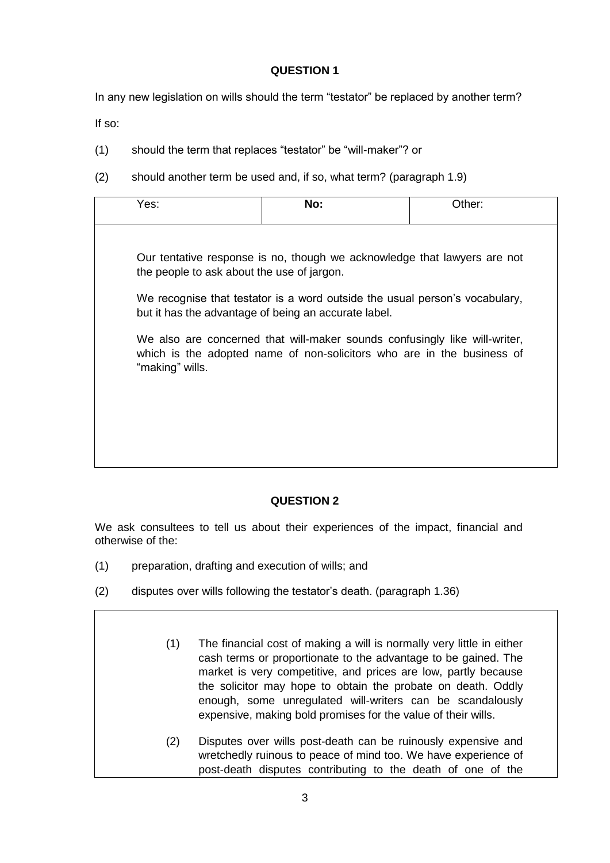In any new legislation on wills should the term "testator" be replaced by another term?

If so:

- (1) should the term that replaces "testator" be "will-maker"? or
- (2) should another term be used and, if so, what term? (paragraph 1.9)

| Yes:                                       | No:                                                                                                                                                  | Other: |
|--------------------------------------------|------------------------------------------------------------------------------------------------------------------------------------------------------|--------|
|                                            |                                                                                                                                                      |        |
| the people to ask about the use of jargon. | Our tentative response is no, though we acknowledge that lawyers are not                                                                             |        |
|                                            | We recognise that testator is a word outside the usual person's vocabulary,<br>but it has the advantage of being an accurate label.                  |        |
| "making" wills.                            | We also are concerned that will-maker sounds confusingly like will-writer,<br>which is the adopted name of non-solicitors who are in the business of |        |
|                                            |                                                                                                                                                      |        |
|                                            |                                                                                                                                                      |        |
|                                            |                                                                                                                                                      |        |

# **QUESTION 2**

We ask consultees to tell us about their experiences of the impact, financial and otherwise of the:

- (1) preparation, drafting and execution of wills; and
- (2) disputes over wills following the testator's death. (paragraph 1.36)
	- (1) The financial cost of making a will is normally very little in either cash terms or proportionate to the advantage to be gained. The market is very competitive, and prices are low, partly because the solicitor may hope to obtain the probate on death. Oddly enough, some unregulated will-writers can be scandalously expensive, making bold promises for the value of their wills.
	- (2) Disputes over wills post-death can be ruinously expensive and wretchedly ruinous to peace of mind too. We have experience of post-death disputes contributing to the death of one of the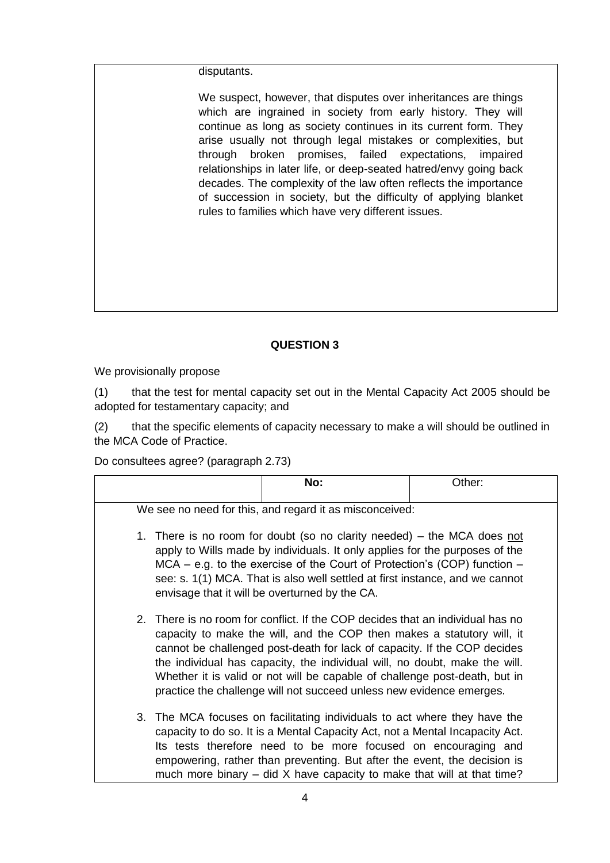#### disputants.

We suspect, however, that disputes over inheritances are things which are ingrained in society from early history. They will continue as long as society continues in its current form. They arise usually not through legal mistakes or complexities, but through broken promises, failed expectations, impaired relationships in later life, or deep-seated hatred/envy going back decades. The complexity of the law often reflects the importance of succession in society, but the difficulty of applying blanket rules to families which have very different issues.

# **QUESTION 3**

We provisionally propose

(1) that the test for mental capacity set out in the Mental Capacity Act 2005 should be adopted for testamentary capacity; and

(2) that the specific elements of capacity necessary to make a will should be outlined in the MCA Code of Practice.

Do consultees agree? (paragraph 2.73)

|  | No:                                                                                                                                                                                                                                                                                                                                                                                                                                                                      | Other: |
|--|--------------------------------------------------------------------------------------------------------------------------------------------------------------------------------------------------------------------------------------------------------------------------------------------------------------------------------------------------------------------------------------------------------------------------------------------------------------------------|--------|
|  | We see no need for this, and regard it as misconceived:                                                                                                                                                                                                                                                                                                                                                                                                                  |        |
|  | 1. There is no room for doubt (so no clarity needed) – the MCA does not<br>apply to Wills made by individuals. It only applies for the purposes of the<br>$MCA - e.g.$ to the exercise of the Court of Protection's (COP) function $-$<br>see: s. 1(1) MCA. That is also well settled at first instance, and we cannot<br>envisage that it will be overturned by the CA.                                                                                                 |        |
|  | 2. There is no room for conflict. If the COP decides that an individual has no<br>capacity to make the will, and the COP then makes a statutory will, it<br>cannot be challenged post-death for lack of capacity. If the COP decides<br>the individual has capacity, the individual will, no doubt, make the will.<br>Whether it is valid or not will be capable of challenge post-death, but in<br>practice the challenge will not succeed unless new evidence emerges. |        |
|  | 3. The MCA focuses on facilitating individuals to act where they have the<br>capacity to do so. It is a Mental Capacity Act, not a Mental Incapacity Act.<br>Its tests therefore need to be more focused on encouraging and<br>empowering, rather than preventing. But after the event, the decision is<br>much more binary $-$ did X have capacity to make that will at that time?                                                                                      |        |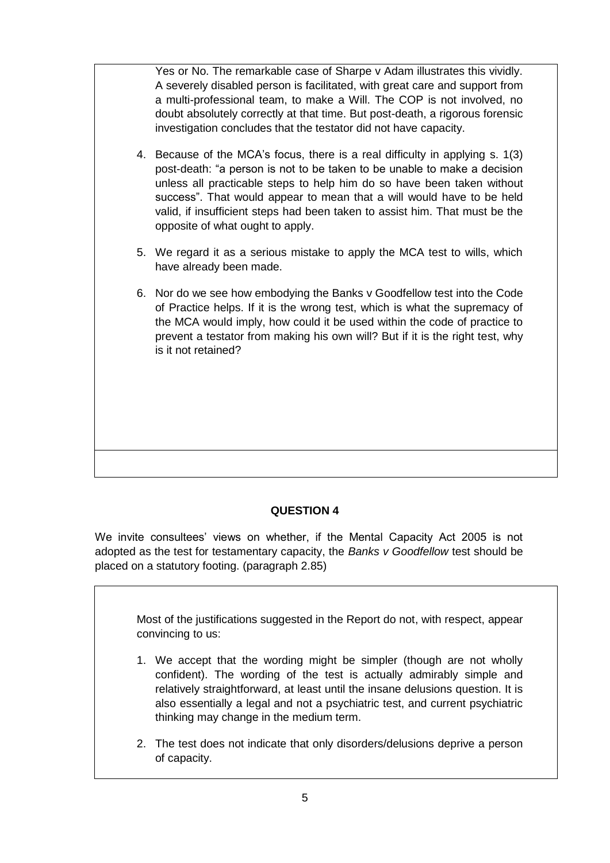Yes or No. The remarkable case of Sharpe v Adam illustrates this vividly. A severely disabled person is facilitated, with great care and support from a multi-professional team, to make a Will. The COP is not involved, no doubt absolutely correctly at that time. But post-death, a rigorous forensic investigation concludes that the testator did not have capacity. 4. Because of the MCA's focus, there is a real difficulty in applying s. 1(3) post-death: "a person is not to be taken to be unable to make a decision unless all practicable steps to help him do so have been taken without success". That would appear to mean that a will would have to be held valid, if insufficient steps had been taken to assist him. That must be the opposite of what ought to apply. 5. We regard it as a serious mistake to apply the MCA test to wills, which have already been made. 6. Nor do we see how embodying the Banks v Goodfellow test into the Code of Practice helps. If it is the wrong test, which is what the supremacy of the MCA would imply, how could it be used within the code of practice to prevent a testator from making his own will? But if it is the right test, why is it not retained?

# **QUESTION 4**

We invite consultees' views on whether, if the Mental Capacity Act 2005 is not adopted as the test for testamentary capacity, the *Banks v Goodfellow* test should be placed on a statutory footing. (paragraph 2.85)

Most of the justifications suggested in the Report do not, with respect, appear convincing to us:

- 1. We accept that the wording might be simpler (though are not wholly confident). The wording of the test is actually admirably simple and relatively straightforward, at least until the insane delusions question. It is also essentially a legal and not a psychiatric test, and current psychiatric thinking may change in the medium term.
- 2. The test does not indicate that only disorders/delusions deprive a person of capacity.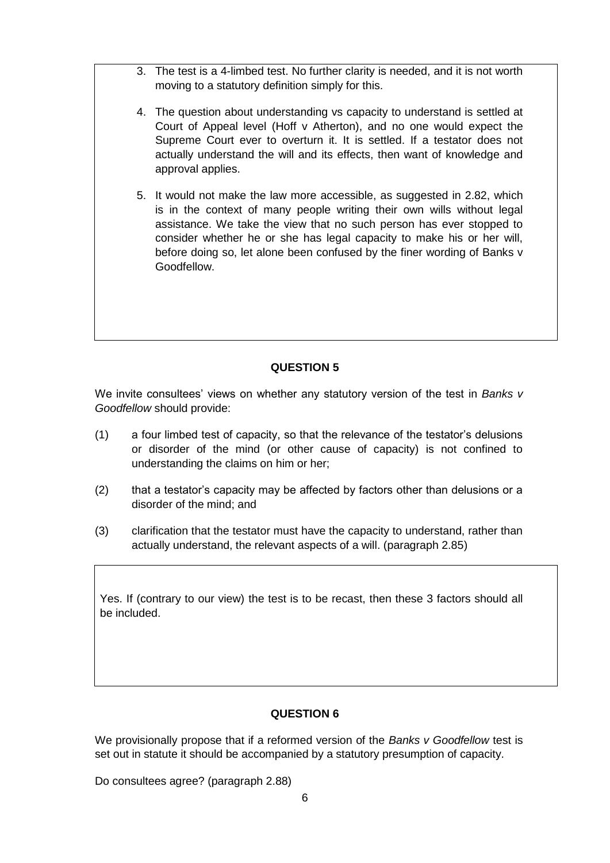- 3. The test is a 4-limbed test. No further clarity is needed, and it is not worth moving to a statutory definition simply for this.
- 4. The question about understanding vs capacity to understand is settled at Court of Appeal level (Hoff v Atherton), and no one would expect the Supreme Court ever to overturn it. It is settled. If a testator does not actually understand the will and its effects, then want of knowledge and approval applies.
- 5. It would not make the law more accessible, as suggested in 2.82, which is in the context of many people writing their own wills without legal assistance. We take the view that no such person has ever stopped to consider whether he or she has legal capacity to make his or her will, before doing so, let alone been confused by the finer wording of Banks v Goodfellow.

We invite consultees' views on whether any statutory version of the test in *Banks v Goodfellow* should provide:

- (1) a four limbed test of capacity, so that the relevance of the testator's delusions or disorder of the mind (or other cause of capacity) is not confined to understanding the claims on him or her;
- (2) that a testator's capacity may be affected by factors other than delusions or a disorder of the mind; and
- (3) clarification that the testator must have the capacity to understand, rather than actually understand, the relevant aspects of a will. (paragraph 2.85)

Yes. If (contrary to our view) the test is to be recast, then these 3 factors should all be included.

#### **QUESTION 6**

We provisionally propose that if a reformed version of the *Banks v Goodfellow* test is set out in statute it should be accompanied by a statutory presumption of capacity.

Do consultees agree? (paragraph 2.88)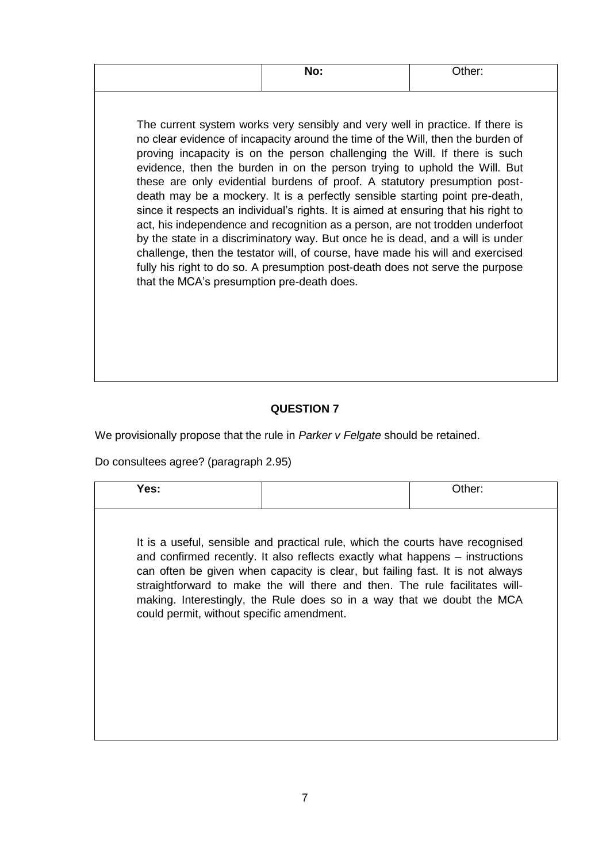|                                            | No:                                                                                                                                                                                                                                                                                                                                                                                                                                                                                                                                                                                                                                                                                                                                                                                                                                                                                                                  | Other: |
|--------------------------------------------|----------------------------------------------------------------------------------------------------------------------------------------------------------------------------------------------------------------------------------------------------------------------------------------------------------------------------------------------------------------------------------------------------------------------------------------------------------------------------------------------------------------------------------------------------------------------------------------------------------------------------------------------------------------------------------------------------------------------------------------------------------------------------------------------------------------------------------------------------------------------------------------------------------------------|--------|
| that the MCA's presumption pre-death does. | The current system works very sensibly and very well in practice. If there is<br>no clear evidence of incapacity around the time of the Will, then the burden of<br>proving incapacity is on the person challenging the Will. If there is such<br>evidence, then the burden in on the person trying to uphold the Will. But<br>these are only evidential burdens of proof. A statutory presumption post-<br>death may be a mockery. It is a perfectly sensible starting point pre-death,<br>since it respects an individual's rights. It is aimed at ensuring that his right to<br>act, his independence and recognition as a person, are not trodden underfoot<br>by the state in a discriminatory way. But once he is dead, and a will is under<br>challenge, then the testator will, of course, have made his will and exercised<br>fully his right to do so. A presumption post-death does not serve the purpose |        |

We provisionally propose that the rule in *Parker v Felgate* should be retained.

Do consultees agree? (paragraph 2.95)

| It is a useful, sensible and practical rule, which the courts have recognised<br>and confirmed recently. It also reflects exactly what happens – instructions<br>can often be given when capacity is clear, but failing fast. It is not always | straightforward to make the will there and then. The rule facilitates will-<br>making. Interestingly, the Rule does so in a way that we doubt the MCA<br>could permit, without specific amendment. | Yes: | Other: |
|------------------------------------------------------------------------------------------------------------------------------------------------------------------------------------------------------------------------------------------------|----------------------------------------------------------------------------------------------------------------------------------------------------------------------------------------------------|------|--------|
|                                                                                                                                                                                                                                                |                                                                                                                                                                                                    |      |        |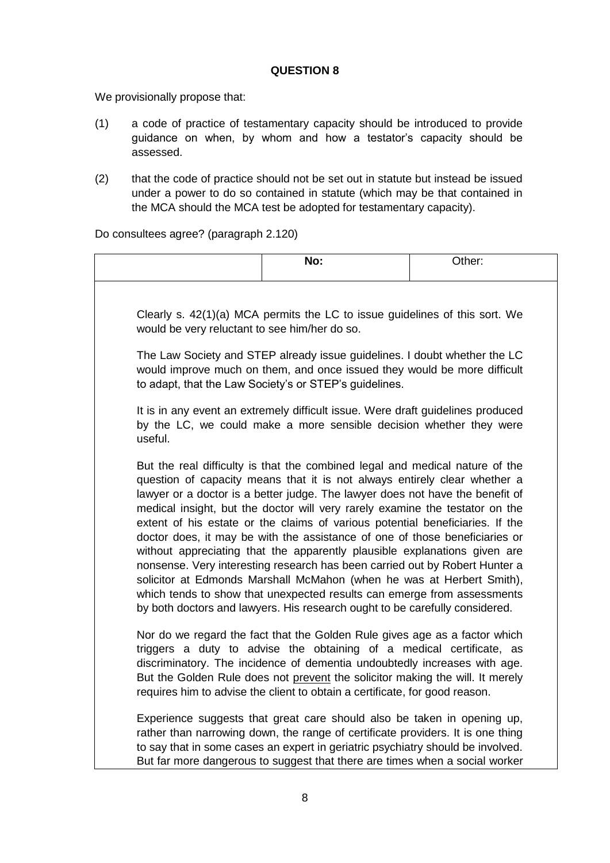We provisionally propose that:

- (1) a code of practice of testamentary capacity should be introduced to provide guidance on when, by whom and how a testator's capacity should be assessed.
- (2) that the code of practice should not be set out in statute but instead be issued under a power to do so contained in statute (which may be that contained in the MCA should the MCA test be adopted for testamentary capacity).

Do consultees agree? (paragraph 2.120)

|                                               | No:                                                                                                                                                                                                                                                                                                                                                                                                                                                                                                                                                                                                                                                                                                                                                                                                                                                                                       | Other: |
|-----------------------------------------------|-------------------------------------------------------------------------------------------------------------------------------------------------------------------------------------------------------------------------------------------------------------------------------------------------------------------------------------------------------------------------------------------------------------------------------------------------------------------------------------------------------------------------------------------------------------------------------------------------------------------------------------------------------------------------------------------------------------------------------------------------------------------------------------------------------------------------------------------------------------------------------------------|--------|
|                                               | Clearly s. 42(1)(a) MCA permits the LC to issue guidelines of this sort. We                                                                                                                                                                                                                                                                                                                                                                                                                                                                                                                                                                                                                                                                                                                                                                                                               |        |
| would be very reluctant to see him/her do so. | The Law Society and STEP already issue guidelines. I doubt whether the LC<br>would improve much on them, and once issued they would be more difficult<br>to adapt, that the Law Society's or STEP's guidelines.                                                                                                                                                                                                                                                                                                                                                                                                                                                                                                                                                                                                                                                                           |        |
| useful.                                       | It is in any event an extremely difficult issue. Were draft guidelines produced<br>by the LC, we could make a more sensible decision whether they were                                                                                                                                                                                                                                                                                                                                                                                                                                                                                                                                                                                                                                                                                                                                    |        |
|                                               | But the real difficulty is that the combined legal and medical nature of the<br>question of capacity means that it is not always entirely clear whether a<br>lawyer or a doctor is a better judge. The lawyer does not have the benefit of<br>medical insight, but the doctor will very rarely examine the testator on the<br>extent of his estate or the claims of various potential beneficiaries. If the<br>doctor does, it may be with the assistance of one of those beneficiaries or<br>without appreciating that the apparently plausible explanations given are<br>nonsense. Very interesting research has been carried out by Robert Hunter a<br>solicitor at Edmonds Marshall McMahon (when he was at Herbert Smith),<br>which tends to show that unexpected results can emerge from assessments<br>by both doctors and lawyers. His research ought to be carefully considered. |        |
|                                               | Nor do we regard the fact that the Golden Rule gives age as a factor which<br>triggers a duty to advise the obtaining of a medical certificate, as<br>discriminatory. The incidence of dementia undoubtedly increases with age.<br>But the Golden Rule does not prevent the solicitor making the will. It merely<br>requires him to advise the client to obtain a certificate, for good reason.                                                                                                                                                                                                                                                                                                                                                                                                                                                                                           |        |
|                                               | Experience suggests that great care should also be taken in opening up,<br>rather than narrowing down, the range of certificate providers. It is one thing<br>to say that in some cases an expert in geriatric psychiatry should be involved.<br>But far more dangerous to suggest that there are times when a social worker                                                                                                                                                                                                                                                                                                                                                                                                                                                                                                                                                              |        |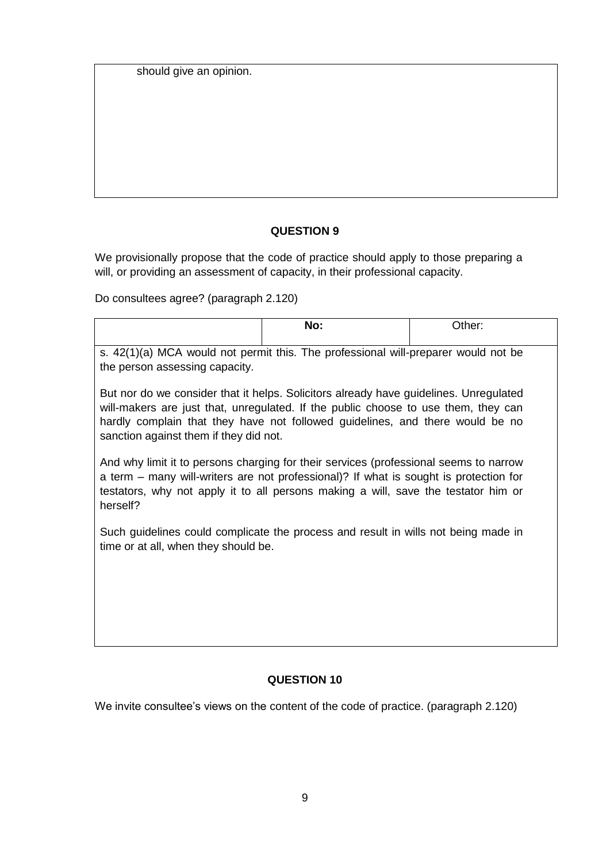should give an opinion.

# **QUESTION 9**

We provisionally propose that the code of practice should apply to those preparing a will, or providing an assessment of capacity, in their professional capacity.

Do consultees agree? (paragraph 2.120)

|                                                                                                                                                                                                                                                                                                        | No: | Other: |  |
|--------------------------------------------------------------------------------------------------------------------------------------------------------------------------------------------------------------------------------------------------------------------------------------------------------|-----|--------|--|
| s. 42(1)(a) MCA would not permit this. The professional will-preparer would not be<br>the person assessing capacity.                                                                                                                                                                                   |     |        |  |
| But nor do we consider that it helps. Solicitors already have guidelines. Unregulated<br>will-makers are just that, unregulated. If the public choose to use them, they can<br>hardly complain that they have not followed guidelines, and there would be no<br>sanction against them if they did not. |     |        |  |
| And why limit it to persons charging for their services (professional seems to narrow<br>a term – many will-writers are not professional)? If what is sought is protection for<br>testators, why not apply it to all persons making a will, save the testator him or<br>herself?                       |     |        |  |
| Such guidelines could complicate the process and result in wills not being made in<br>time or at all, when they should be.                                                                                                                                                                             |     |        |  |
|                                                                                                                                                                                                                                                                                                        |     |        |  |

# **QUESTION 10**

We invite consultee's views on the content of the code of practice. (paragraph 2.120)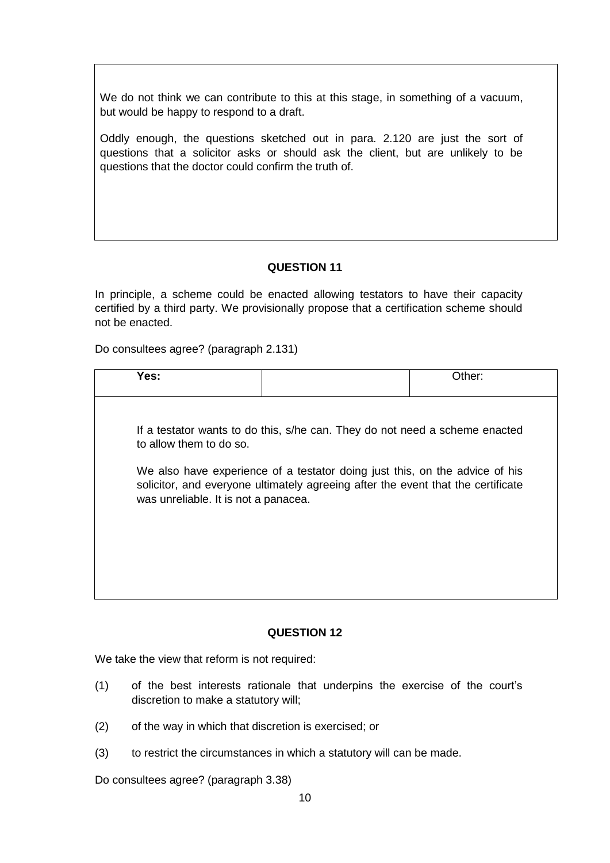We do not think we can contribute to this at this stage, in something of a vacuum, but would be happy to respond to a draft.

Oddly enough, the questions sketched out in para. 2.120 are just the sort of questions that a solicitor asks or should ask the client, but are unlikely to be questions that the doctor could confirm the truth of.

### **QUESTION 11**

In principle, a scheme could be enacted allowing testators to have their capacity certified by a third party. We provisionally propose that a certification scheme should not be enacted.

Do consultees agree? (paragraph 2.131)

| Yes:                                 |                                                                                                                                                                 | Other: |
|--------------------------------------|-----------------------------------------------------------------------------------------------------------------------------------------------------------------|--------|
|                                      |                                                                                                                                                                 |        |
| to allow them to do so.              | If a testator wants to do this, s/he can. They do not need a scheme enacted                                                                                     |        |
| was unreliable. It is not a panacea. | We also have experience of a testator doing just this, on the advice of his<br>solicitor, and everyone ultimately agreeing after the event that the certificate |        |
|                                      |                                                                                                                                                                 |        |

#### **QUESTION 12**

We take the view that reform is not required:

- (1) of the best interests rationale that underpins the exercise of the court's discretion to make a statutory will;
- (2) of the way in which that discretion is exercised; or
- (3) to restrict the circumstances in which a statutory will can be made.

Do consultees agree? (paragraph 3.38)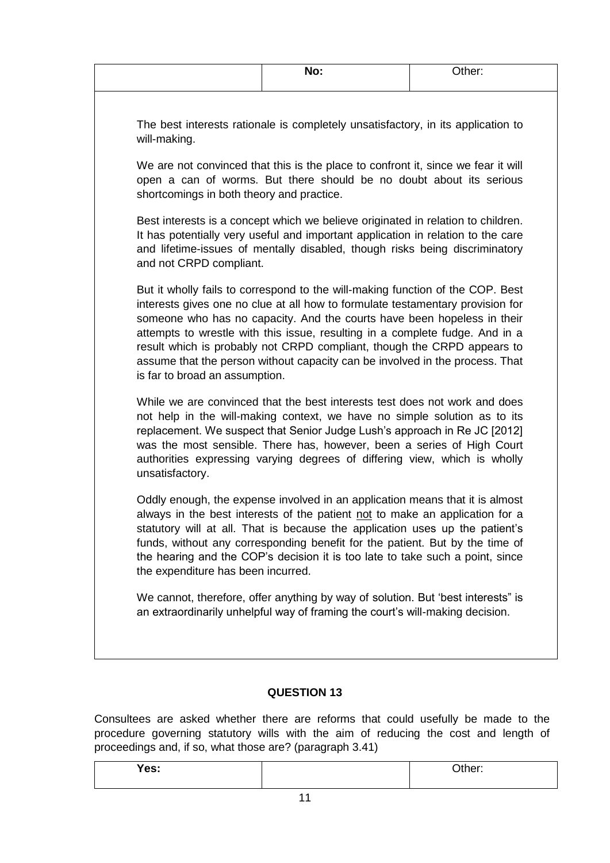|                                                                               | No:                                                                                                                                                                                                                                                                                                                                                                                                                                                                                    | Other: |
|-------------------------------------------------------------------------------|----------------------------------------------------------------------------------------------------------------------------------------------------------------------------------------------------------------------------------------------------------------------------------------------------------------------------------------------------------------------------------------------------------------------------------------------------------------------------------------|--------|
| will-making.                                                                  | The best interests rationale is completely unsatisfactory, in its application to                                                                                                                                                                                                                                                                                                                                                                                                       |        |
| shortcomings in both theory and practice.                                     | We are not convinced that this is the place to confront it, since we fear it will<br>open a can of worms. But there should be no doubt about its serious                                                                                                                                                                                                                                                                                                                               |        |
| and not CRPD compliant.                                                       | Best interests is a concept which we believe originated in relation to children.<br>It has potentially very useful and important application in relation to the care<br>and lifetime-issues of mentally disabled, though risks being discriminatory                                                                                                                                                                                                                                    |        |
| is far to broad an assumption.                                                | But it wholly fails to correspond to the will-making function of the COP. Best<br>interests gives one no clue at all how to formulate testamentary provision for<br>someone who has no capacity. And the courts have been hopeless in their<br>attempts to wrestle with this issue, resulting in a complete fudge. And in a<br>result which is probably not CRPD compliant, though the CRPD appears to<br>assume that the person without capacity can be involved in the process. That |        |
| unsatisfactory.                                                               | While we are convinced that the best interests test does not work and does<br>not help in the will-making context, we have no simple solution as to its<br>replacement. We suspect that Senior Judge Lush's approach in Re JC [2012]<br>was the most sensible. There has, however, been a series of High Court<br>authorities expressing varying degrees of differing view, which is wholly                                                                                            |        |
| the expenditure has been incurred.                                            | Oddly enough, the expense involved in an application means that it is almost<br>always in the best interests of the patient not to make an application for a<br>statutory will at all. That is because the application uses up the patient's<br>funds, without any corresponding benefit for the patient. But by the time of<br>the hearing and the COP's decision it is too late to take such a point, since                                                                          |        |
| an extraordinarily unhelpful way of framing the court's will-making decision. | We cannot, therefore, offer anything by way of solution. But 'best interests" is                                                                                                                                                                                                                                                                                                                                                                                                       |        |

Consultees are asked whether there are reforms that could usefully be made to the procedure governing statutory wills with the aim of reducing the cost and length of proceedings and, if so, what those are? (paragraph 3.41)

| Yes: | $2$ ther: |
|------|-----------|
|      |           |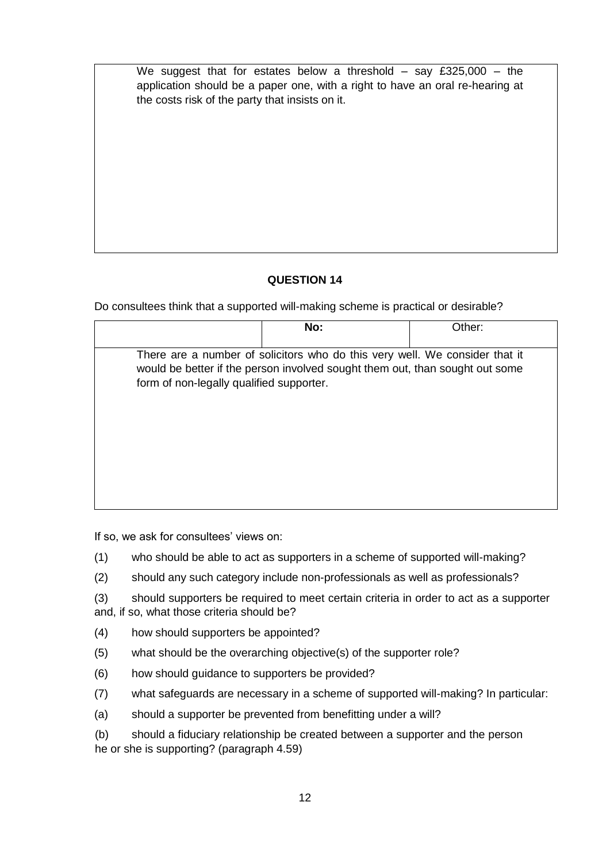We suggest that for estates below a threshold – say £325,000 – the application should be a paper one, with a right to have an oral re-hearing at the costs risk of the party that insists on it.

# **QUESTION 14**

Do consultees think that a supported will-making scheme is practical or desirable?

|                                          | No:                                                                                                                                                         | Other: |
|------------------------------------------|-------------------------------------------------------------------------------------------------------------------------------------------------------------|--------|
| form of non-legally qualified supporter. | There are a number of solicitors who do this very well. We consider that it<br>would be better if the person involved sought them out, than sought out some |        |
|                                          |                                                                                                                                                             |        |

If so, we ask for consultees' views on:

- (1) who should be able to act as supporters in a scheme of supported will-making?
- (2) should any such category include non-professionals as well as professionals?
- (3) should supporters be required to meet certain criteria in order to act as a supporter and, if so, what those criteria should be?
- (4) how should supporters be appointed?
- (5) what should be the overarching objective(s) of the supporter role?
- (6) how should guidance to supporters be provided?
- (7) what safeguards are necessary in a scheme of supported will-making? In particular:
- (a) should a supporter be prevented from benefitting under a will?
- (b) should a fiduciary relationship be created between a supporter and the person he or she is supporting? (paragraph 4.59)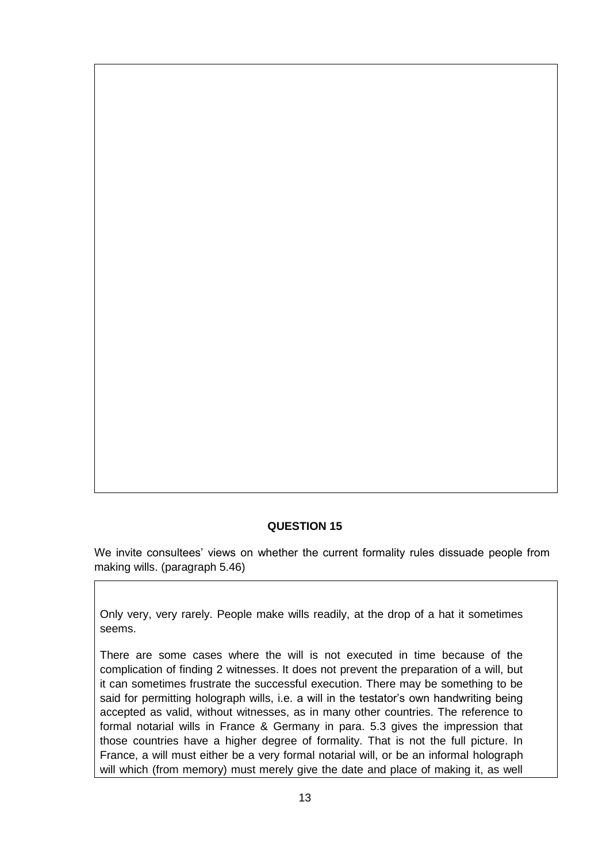We invite consultees' views on whether the current formality rules dissuade people from making wills. (paragraph 5.46)

Only very, very rarely. People make wills readily, at the drop of a hat it sometimes seems.

There are some cases where the will is not executed in time because of the complication of finding 2 witnesses. It does not prevent the preparation of a will, but it can sometimes frustrate the successful execution. There may be something to be said for permitting holograph wills, i.e. a will in the testator's own handwriting being accepted as valid, without witnesses, as in many other countries. The reference to formal notarial wills in France & Germany in para. 5.3 gives the impression that those countries have a higher degree of formality. That is not the full picture. In France, a will must either be a very formal notarial will, or be an informal holograph will which (from memory) must merely give the date and place of making it, as well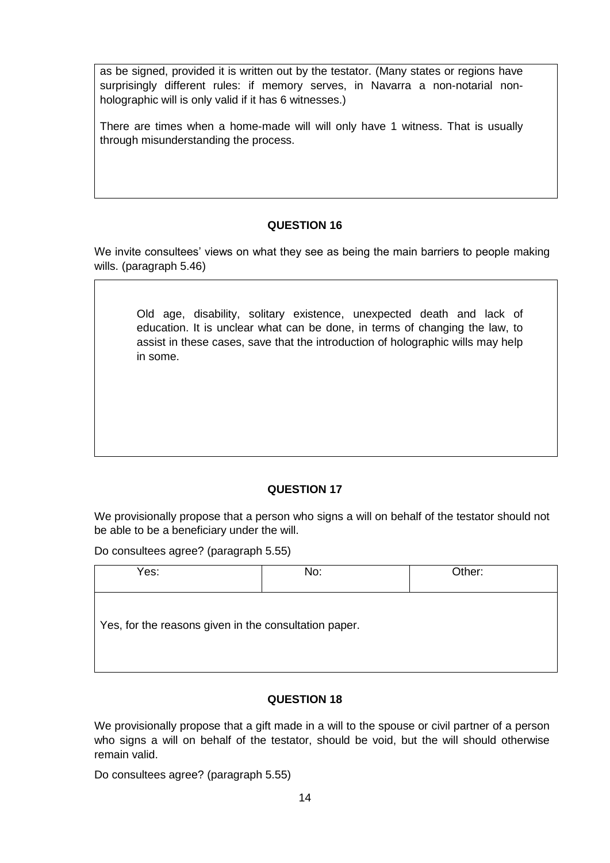as be signed, provided it is written out by the testator. (Many states or regions have surprisingly different rules: if memory serves, in Navarra a non-notarial nonholographic will is only valid if it has 6 witnesses.)

There are times when a home-made will will only have 1 witness. That is usually through misunderstanding the process.

### **QUESTION 16**

We invite consultees' views on what they see as being the main barriers to people making wills. (paragraph 5.46)

Old age, disability, solitary existence, unexpected death and lack of education. It is unclear what can be done, in terms of changing the law, to assist in these cases, save that the introduction of holographic wills may help in some.

# **QUESTION 17**

We provisionally propose that a person who signs a will on behalf of the testator should not be able to be a beneficiary under the will.

Do consultees agree? (paragraph 5.55)

| Yes:                                                  | No: | Other: |
|-------------------------------------------------------|-----|--------|
| Yes, for the reasons given in the consultation paper. |     |        |

# **QUESTION 18**

We provisionally propose that a gift made in a will to the spouse or civil partner of a person who signs a will on behalf of the testator, should be void, but the will should otherwise remain valid.

Do consultees agree? (paragraph 5.55)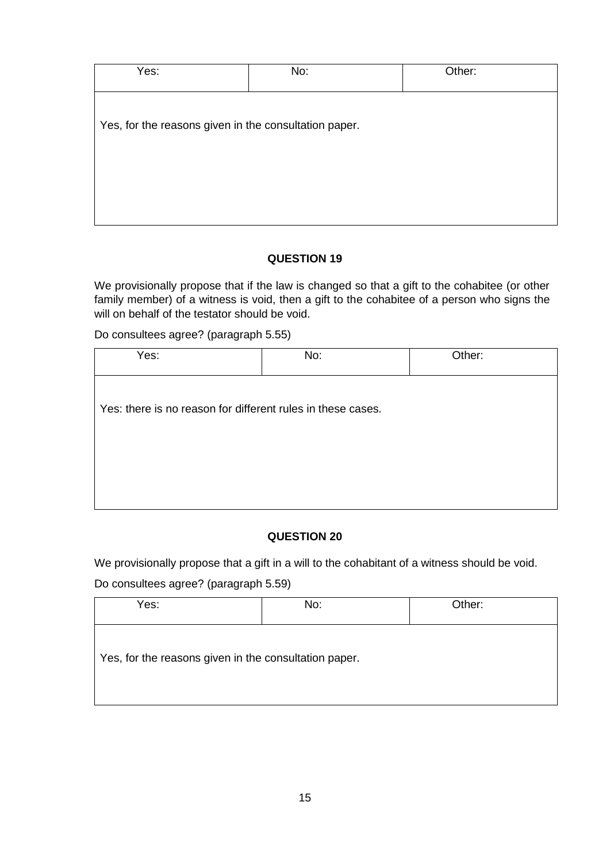| Yes:                                                  | No: | Other: |
|-------------------------------------------------------|-----|--------|
| Yes, for the reasons given in the consultation paper. |     |        |
|                                                       |     |        |

We provisionally propose that if the law is changed so that a gift to the cohabitee (or other family member) of a witness is void, then a gift to the cohabitee of a person who signs the will on behalf of the testator should be void.

Do consultees agree? (paragraph 5.55)

| Yes:                                                        | No: | Other: |  |
|-------------------------------------------------------------|-----|--------|--|
| Yes: there is no reason for different rules in these cases. |     |        |  |
|                                                             |     |        |  |
|                                                             |     |        |  |

# **QUESTION 20**

We provisionally propose that a gift in a will to the cohabitant of a witness should be void.

Do consultees agree? (paragraph 5.59)

| Yes:                                                  | No: | Other: |
|-------------------------------------------------------|-----|--------|
| Yes, for the reasons given in the consultation paper. |     |        |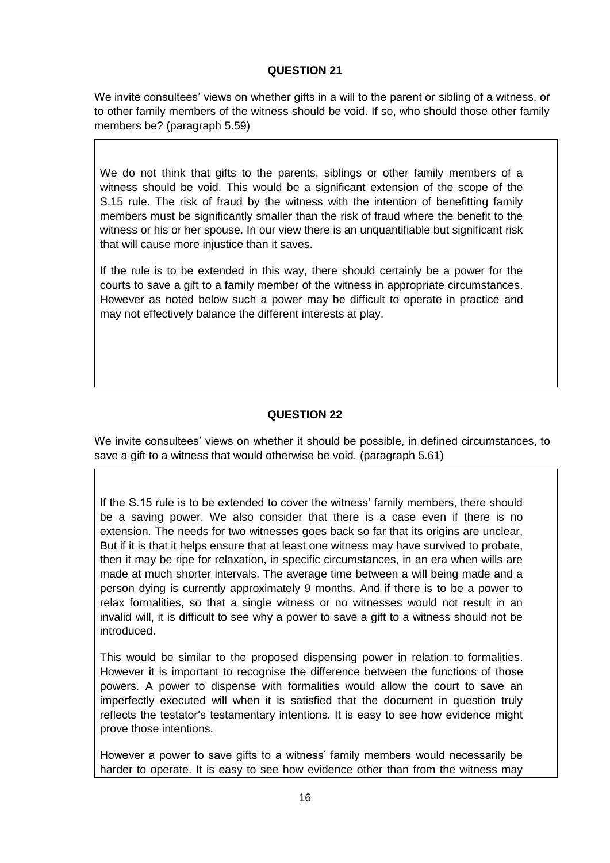We invite consultees' views on whether gifts in a will to the parent or sibling of a witness, or to other family members of the witness should be void. If so, who should those other family members be? (paragraph 5.59)

We do not think that gifts to the parents, siblings or other family members of a witness should be void. This would be a significant extension of the scope of the S.15 rule. The risk of fraud by the witness with the intention of benefitting family members must be significantly smaller than the risk of fraud where the benefit to the witness or his or her spouse. In our view there is an unquantifiable but significant risk that will cause more injustice than it saves.

If the rule is to be extended in this way, there should certainly be a power for the courts to save a gift to a family member of the witness in appropriate circumstances. However as noted below such a power may be difficult to operate in practice and may not effectively balance the different interests at play.

# **QUESTION 22**

We invite consultees' views on whether it should be possible, in defined circumstances, to save a gift to a witness that would otherwise be void. (paragraph 5.61)

If the S.15 rule is to be extended to cover the witness' family members, there should be a saving power. We also consider that there is a case even if there is no extension. The needs for two witnesses goes back so far that its origins are unclear, But if it is that it helps ensure that at least one witness may have survived to probate, then it may be ripe for relaxation, in specific circumstances, in an era when wills are made at much shorter intervals. The average time between a will being made and a person dying is currently approximately 9 months. And if there is to be a power to relax formalities, so that a single witness or no witnesses would not result in an invalid will, it is difficult to see why a power to save a gift to a witness should not be introduced.

This would be similar to the proposed dispensing power in relation to formalities. However it is important to recognise the difference between the functions of those powers. A power to dispense with formalities would allow the court to save an imperfectly executed will when it is satisfied that the document in question truly reflects the testator's testamentary intentions. It is easy to see how evidence might prove those intentions.

However a power to save gifts to a witness' family members would necessarily be harder to operate. It is easy to see how evidence other than from the witness may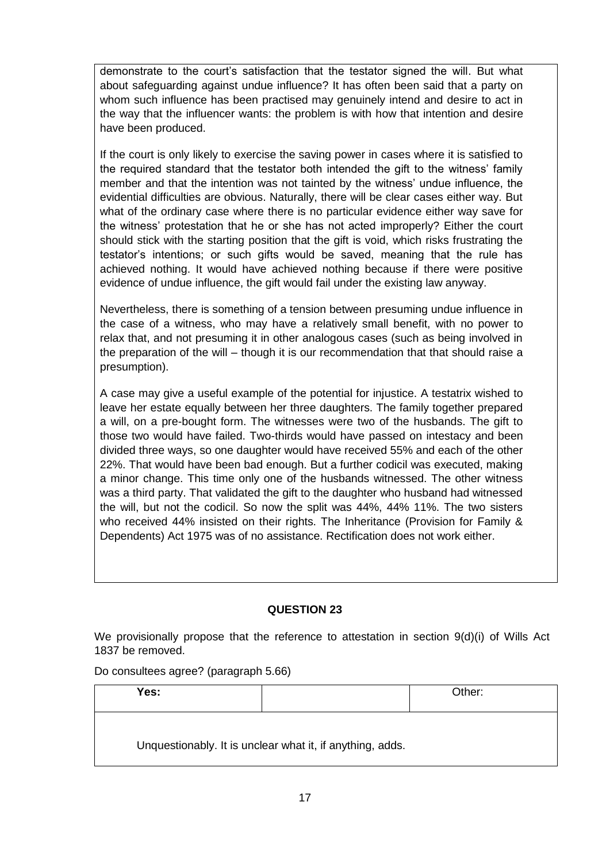demonstrate to the court's satisfaction that the testator signed the will. But what about safeguarding against undue influence? It has often been said that a party on whom such influence has been practised may genuinely intend and desire to act in the way that the influencer wants: the problem is with how that intention and desire have been produced.

If the court is only likely to exercise the saving power in cases where it is satisfied to the required standard that the testator both intended the gift to the witness' family member and that the intention was not tainted by the witness' undue influence, the evidential difficulties are obvious. Naturally, there will be clear cases either way. But what of the ordinary case where there is no particular evidence either way save for the witness' protestation that he or she has not acted improperly? Either the court should stick with the starting position that the gift is void, which risks frustrating the testator's intentions; or such gifts would be saved, meaning that the rule has achieved nothing. It would have achieved nothing because if there were positive evidence of undue influence, the gift would fail under the existing law anyway.

Nevertheless, there is something of a tension between presuming undue influence in the case of a witness, who may have a relatively small benefit, with no power to relax that, and not presuming it in other analogous cases (such as being involved in the preparation of the will – though it is our recommendation that that should raise a presumption).

A case may give a useful example of the potential for injustice. A testatrix wished to leave her estate equally between her three daughters. The family together prepared a will, on a pre-bought form. The witnesses were two of the husbands. The gift to those two would have failed. Two-thirds would have passed on intestacy and been divided three ways, so one daughter would have received 55% and each of the other 22%. That would have been bad enough. But a further codicil was executed, making a minor change. This time only one of the husbands witnessed. The other witness was a third party. That validated the gift to the daughter who husband had witnessed the will, but not the codicil. So now the split was 44%, 44% 11%. The two sisters who received 44% insisted on their rights. The Inheritance (Provision for Family & Dependents) Act 1975 was of no assistance. Rectification does not work either.

#### **QUESTION 23**

We provisionally propose that the reference to attestation in section 9(d)(i) of Wills Act 1837 be removed.

Do consultees agree? (paragraph 5.66)

| Yes: |                                                           | Other: |
|------|-----------------------------------------------------------|--------|
|      | Unquestionably. It is unclear what it, if anything, adds. |        |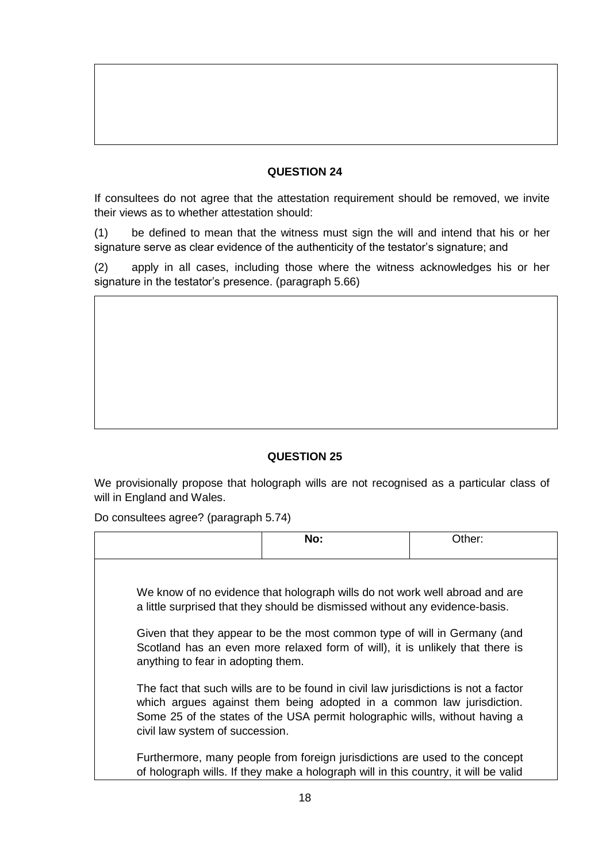If consultees do not agree that the attestation requirement should be removed, we invite their views as to whether attestation should:

(1) be defined to mean that the witness must sign the will and intend that his or her signature serve as clear evidence of the authenticity of the testator's signature; and

(2) apply in all cases, including those where the witness acknowledges his or her signature in the testator's presence. (paragraph 5.66)

# **QUESTION 25**

We provisionally propose that holograph wills are not recognised as a particular class of will in England and Wales.

Do consultees agree? (paragraph 5.74)

|                                    | No:                                                                                                                                                                                                                                         | Other: |
|------------------------------------|---------------------------------------------------------------------------------------------------------------------------------------------------------------------------------------------------------------------------------------------|--------|
|                                    |                                                                                                                                                                                                                                             |        |
|                                    | We know of no evidence that holograph wills do not work well abroad and are<br>a little surprised that they should be dismissed without any evidence-basis.                                                                                 |        |
| anything to fear in adopting them. | Given that they appear to be the most common type of will in Germany (and<br>Scotland has an even more relaxed form of will), it is unlikely that there is                                                                                  |        |
| civil law system of succession.    | The fact that such wills are to be found in civil law jurisdictions is not a factor<br>which argues against them being adopted in a common law jurisdiction.<br>Some 25 of the states of the USA permit holographic wills, without having a |        |
|                                    | Furthermore, many people from foreign jurisdictions are used to the concept<br>of holograph wills. If they make a holograph will in this country, it will be valid                                                                          |        |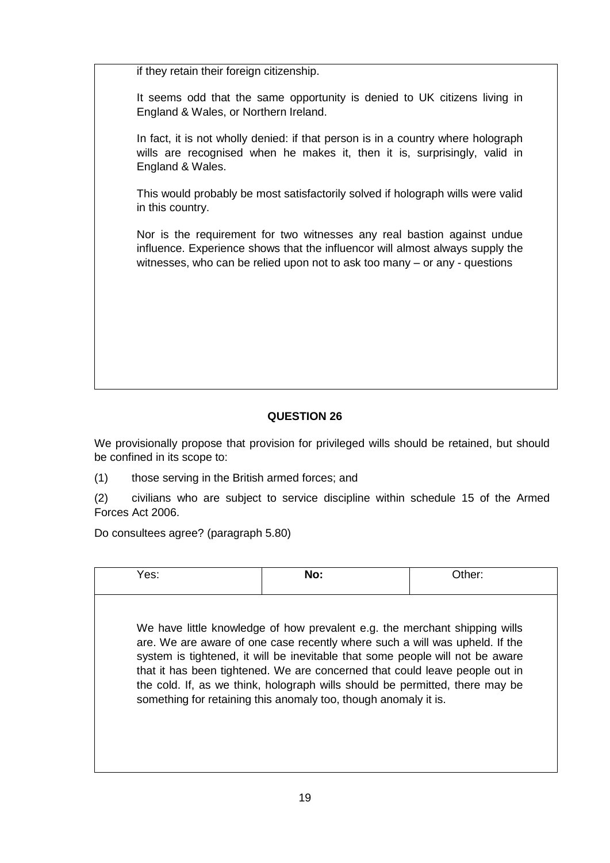if they retain their foreign citizenship.

It seems odd that the same opportunity is denied to UK citizens living in England & Wales, or Northern Ireland.

In fact, it is not wholly denied: if that person is in a country where holograph wills are recognised when he makes it, then it is, surprisingly, valid in England & Wales.

This would probably be most satisfactorily solved if holograph wills were valid in this country.

Nor is the requirement for two witnesses any real bastion against undue influence. Experience shows that the influencor will almost always supply the witnesses, who can be relied upon not to ask too many – or any - questions

# **QUESTION 26**

We provisionally propose that provision for privileged wills should be retained, but should be confined in its scope to:

(1) those serving in the British armed forces; and

(2) civilians who are subject to service discipline within schedule 15 of the Armed Forces Act 2006.

Do consultees agree? (paragraph 5.80)

| Yes: | No:                                                                                                                                                                                                                                                                                                                                                                                                                                                                          | Other: |
|------|------------------------------------------------------------------------------------------------------------------------------------------------------------------------------------------------------------------------------------------------------------------------------------------------------------------------------------------------------------------------------------------------------------------------------------------------------------------------------|--------|
|      | We have little knowledge of how prevalent e.g. the merchant shipping wills<br>are. We are aware of one case recently where such a will was upheld. If the<br>system is tightened, it will be inevitable that some people will not be aware<br>that it has been tightened. We are concerned that could leave people out in<br>the cold. If, as we think, holograph wills should be permitted, there may be<br>something for retaining this anomaly too, though anomaly it is. |        |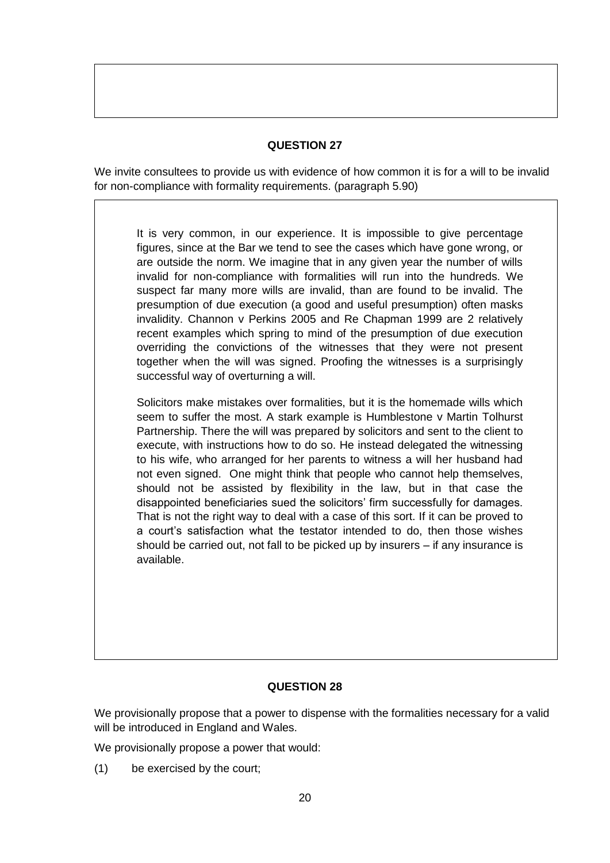We invite consultees to provide us with evidence of how common it is for a will to be invalid for non-compliance with formality requirements. (paragraph 5.90)

It is very common, in our experience. It is impossible to give percentage figures, since at the Bar we tend to see the cases which have gone wrong, or are outside the norm. We imagine that in any given year the number of wills invalid for non-compliance with formalities will run into the hundreds. We suspect far many more wills are invalid, than are found to be invalid. The presumption of due execution (a good and useful presumption) often masks invalidity. Channon v Perkins 2005 and Re Chapman 1999 are 2 relatively recent examples which spring to mind of the presumption of due execution overriding the convictions of the witnesses that they were not present together when the will was signed. Proofing the witnesses is a surprisingly successful way of overturning a will.

Solicitors make mistakes over formalities, but it is the homemade wills which seem to suffer the most. A stark example is Humblestone v Martin Tolhurst Partnership. There the will was prepared by solicitors and sent to the client to execute, with instructions how to do so. He instead delegated the witnessing to his wife, who arranged for her parents to witness a will her husband had not even signed. One might think that people who cannot help themselves, should not be assisted by flexibility in the law, but in that case the disappointed beneficiaries sued the solicitors' firm successfully for damages. That is not the right way to deal with a case of this sort. If it can be proved to a court's satisfaction what the testator intended to do, then those wishes should be carried out, not fall to be picked up by insurers – if any insurance is available.

# **QUESTION 28**

We provisionally propose that a power to dispense with the formalities necessary for a valid will be introduced in England and Wales.

We provisionally propose a power that would:

(1) be exercised by the court;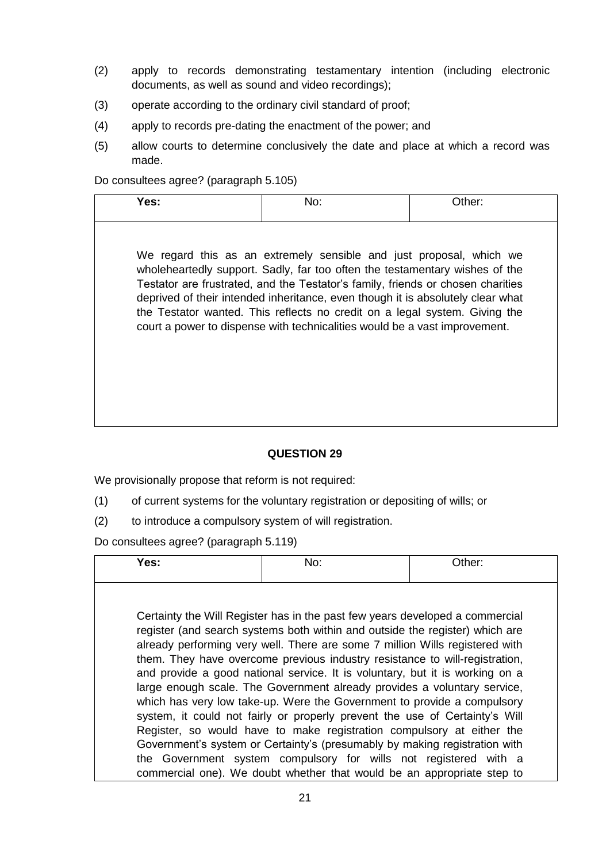- (2) apply to records demonstrating testamentary intention (including electronic documents, as well as sound and video recordings);
- (3) operate according to the ordinary civil standard of proof;
- (4) apply to records pre-dating the enactment of the power; and
- (5) allow courts to determine conclusively the date and place at which a record was made.

Do consultees agree? (paragraph 5.105)

| Yes: | No: | Other: |
|------|-----|--------|
|      |     |        |

We regard this as an extremely sensible and just proposal, which we wholeheartedly support. Sadly, far too often the testamentary wishes of the Testator are frustrated, and the Testator's family, friends or chosen charities deprived of their intended inheritance, even though it is absolutely clear what the Testator wanted. This reflects no credit on a legal system. Giving the court a power to dispense with technicalities would be a vast improvement.

# **QUESTION 29**

We provisionally propose that reform is not required:

- (1) of current systems for the voluntary registration or depositing of wills; or
- (2) to introduce a compulsory system of will registration.

Do consultees agree? (paragraph 5.119)

| Yes: | No:                                                                                                                                                                                                                                                                                                                                                                                                     | Other: |
|------|---------------------------------------------------------------------------------------------------------------------------------------------------------------------------------------------------------------------------------------------------------------------------------------------------------------------------------------------------------------------------------------------------------|--------|
|      | Certainty the Will Register has in the past few years developed a commercial                                                                                                                                                                                                                                                                                                                            |        |
|      | register (and search systems both within and outside the register) which are<br>already performing very well. There are some 7 million Wills registered with<br>them. They have overcome previous industry resistance to will-registration,<br>and provide a good national service. It is voluntary, but it is working on a<br>large enough scale. The Government already provides a voluntary service, |        |
|      | which has very low take-up. Were the Government to provide a compulsory<br>system, it could not fairly or properly prevent the use of Certainty's Will<br>Register, so would have to make registration compulsory at either the                                                                                                                                                                         |        |
|      | Government's system or Certainty's (presumably by making registration with<br>the Government system compulsory for wills not registered with a<br>commercial one). We doubt whether that would be an appropriate step to                                                                                                                                                                                |        |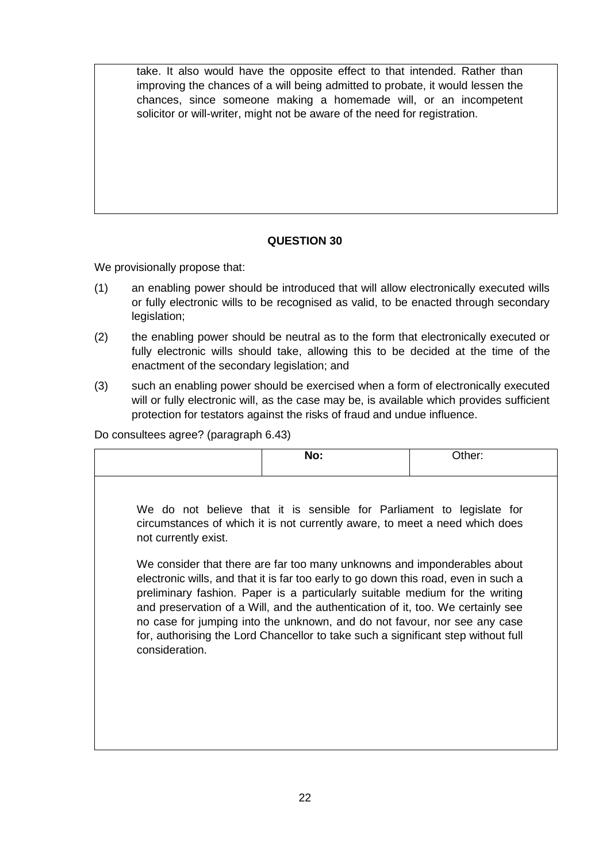take. It also would have the opposite effect to that intended. Rather than improving the chances of a will being admitted to probate, it would lessen the chances, since someone making a homemade will, or an incompetent solicitor or will-writer, might not be aware of the need for registration.

# **QUESTION 30**

We provisionally propose that:

- (1) an enabling power should be introduced that will allow electronically executed wills or fully electronic wills to be recognised as valid, to be enacted through secondary legislation;
- (2) the enabling power should be neutral as to the form that electronically executed or fully electronic wills should take, allowing this to be decided at the time of the enactment of the secondary legislation; and
- (3) such an enabling power should be exercised when a form of electronically executed will or fully electronic will, as the case may be, is available which provides sufficient protection for testators against the risks of fraud and undue influence.

Do consultees agree? (paragraph 6.43)

|                      | No:                                                                                                                                                                                                                                                                                                                                                                                                                                                                                                  | Other: |
|----------------------|------------------------------------------------------------------------------------------------------------------------------------------------------------------------------------------------------------------------------------------------------------------------------------------------------------------------------------------------------------------------------------------------------------------------------------------------------------------------------------------------------|--------|
|                      |                                                                                                                                                                                                                                                                                                                                                                                                                                                                                                      |        |
| not currently exist. | We do not believe that it is sensible for Parliament to legislate for<br>circumstances of which it is not currently aware, to meet a need which does                                                                                                                                                                                                                                                                                                                                                 |        |
| consideration.       | We consider that there are far too many unknowns and imponderables about<br>electronic wills, and that it is far too early to go down this road, even in such a<br>preliminary fashion. Paper is a particularly suitable medium for the writing<br>and preservation of a Will, and the authentication of it, too. We certainly see<br>no case for jumping into the unknown, and do not favour, nor see any case<br>for, authorising the Lord Chancellor to take such a significant step without full |        |
|                      |                                                                                                                                                                                                                                                                                                                                                                                                                                                                                                      |        |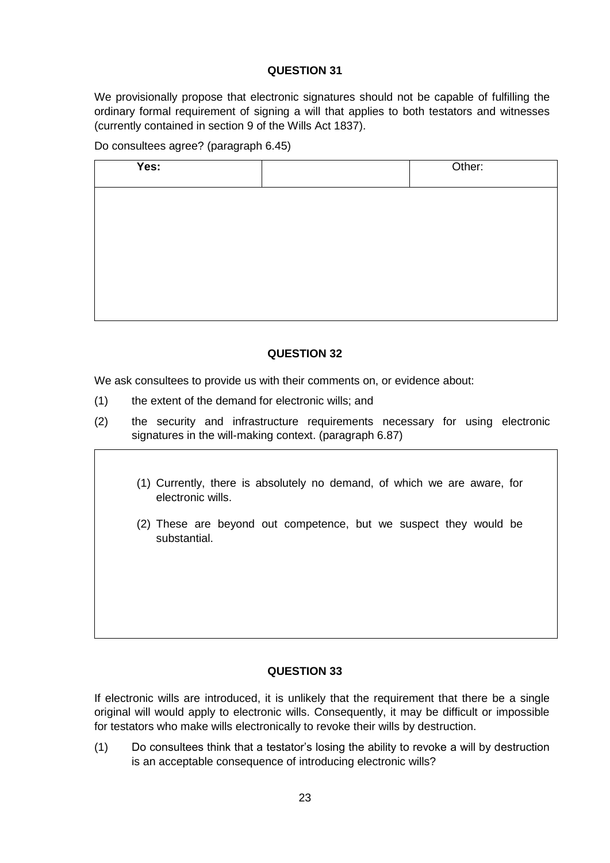We provisionally propose that electronic signatures should not be capable of fulfilling the ordinary formal requirement of signing a will that applies to both testators and witnesses (currently contained in section 9 of the Wills Act 1837).

Do consultees agree? (paragraph 6.45)

| Yes: | Other: |
|------|--------|
|      |        |
|      |        |
|      |        |
|      |        |
|      |        |

# **QUESTION 32**

We ask consultees to provide us with their comments on, or evidence about:

- (1) the extent of the demand for electronic wills; and
- (2) the security and infrastructure requirements necessary for using electronic signatures in the will-making context. (paragraph 6.87)
	- (1) Currently, there is absolutely no demand, of which we are aware, for electronic wills.
	- (2) These are beyond out competence, but we suspect they would be substantial.

# **QUESTION 33**

If electronic wills are introduced, it is unlikely that the requirement that there be a single original will would apply to electronic wills. Consequently, it may be difficult or impossible for testators who make wills electronically to revoke their wills by destruction.

(1) Do consultees think that a testator's losing the ability to revoke a will by destruction is an acceptable consequence of introducing electronic wills?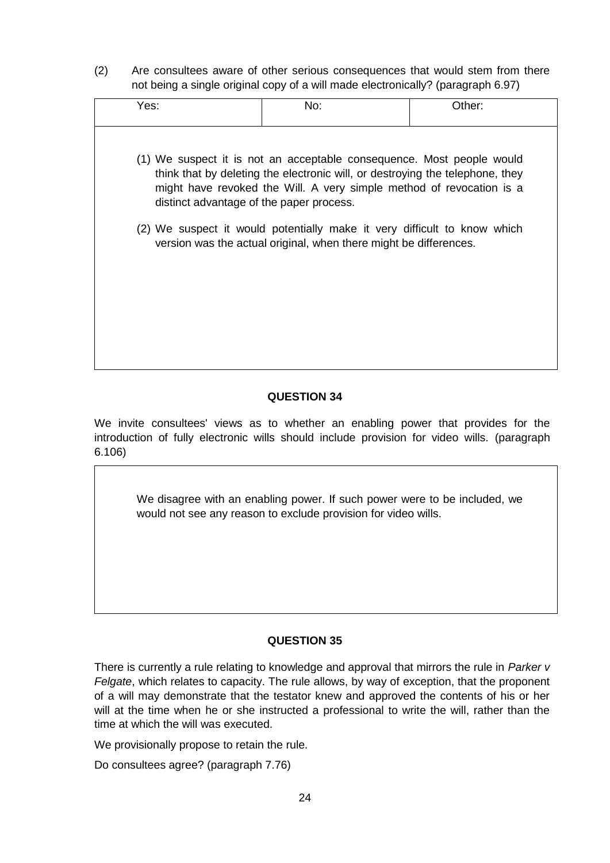(2) Are consultees aware of other serious consequences that would stem from there not being a single original copy of a will made electronically? (paragraph 6.97)

| (1) We suspect it is not an acceptable consequence. Most people would<br>think that by deleting the electronic will, or destroying the telephone, they<br>might have revoked the Will. A very simple method of revocation is a<br>distinct advantage of the paper process.<br>(2) We suspect it would potentially make it very difficult to know which<br>version was the actual original, when there might be differences. | Yes: | No: | Other: |
|-----------------------------------------------------------------------------------------------------------------------------------------------------------------------------------------------------------------------------------------------------------------------------------------------------------------------------------------------------------------------------------------------------------------------------|------|-----|--------|
|                                                                                                                                                                                                                                                                                                                                                                                                                             |      |     |        |

### **QUESTION 34**

We invite consultees' views as to whether an enabling power that provides for the introduction of fully electronic wills should include provision for video wills. (paragraph 6.106)

We disagree with an enabling power. If such power were to be included, we would not see any reason to exclude provision for video wills.

#### **QUESTION 35**

There is currently a rule relating to knowledge and approval that mirrors the rule in *Parker v Felgate*, which relates to capacity. The rule allows, by way of exception, that the proponent of a will may demonstrate that the testator knew and approved the contents of his or her will at the time when he or she instructed a professional to write the will, rather than the time at which the will was executed.

We provisionally propose to retain the rule.

Do consultees agree? (paragraph 7.76)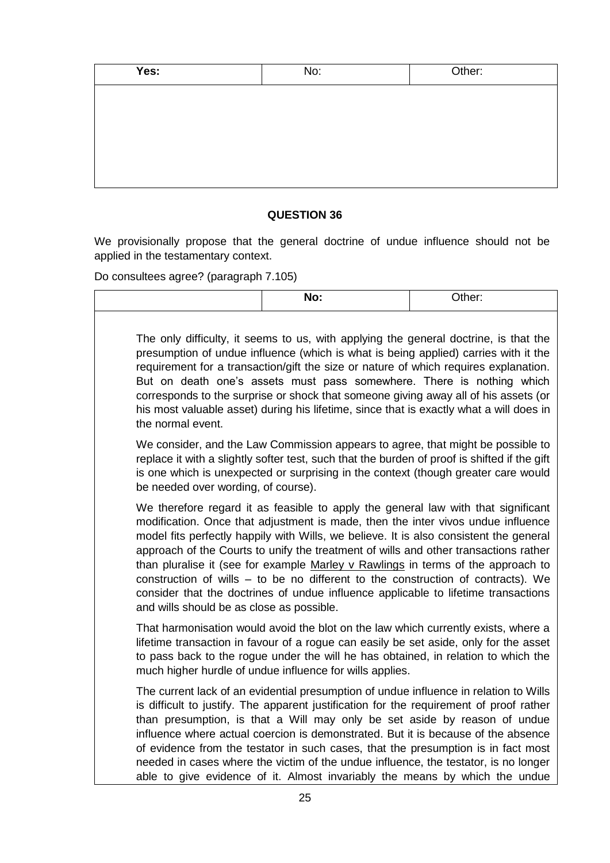| No: | Other: |
|-----|--------|
|     |        |
|     |        |
|     |        |
|     |        |
|     |        |
|     |        |

We provisionally propose that the general doctrine of undue influence should not be applied in the testamentary context.

Do consultees agree? (paragraph 7.105)

|                                           | No:                                                                                                                                                                                                                                                                                                                                                                                                                                                                                                                                                                                                                   | Other: |
|-------------------------------------------|-----------------------------------------------------------------------------------------------------------------------------------------------------------------------------------------------------------------------------------------------------------------------------------------------------------------------------------------------------------------------------------------------------------------------------------------------------------------------------------------------------------------------------------------------------------------------------------------------------------------------|--------|
| the normal event.                         | The only difficulty, it seems to us, with applying the general doctrine, is that the<br>presumption of undue influence (which is what is being applied) carries with it the<br>requirement for a transaction/gift the size or nature of which requires explanation.<br>But on death one's assets must pass somewhere. There is nothing which<br>corresponds to the surprise or shock that someone giving away all of his assets (or<br>his most valuable asset) during his lifetime, since that is exactly what a will does in                                                                                        |        |
| be needed over wording, of course).       | We consider, and the Law Commission appears to agree, that might be possible to<br>replace it with a slightly softer test, such that the burden of proof is shifted if the gift<br>is one which is unexpected or surprising in the context (though greater care would                                                                                                                                                                                                                                                                                                                                                 |        |
| and wills should be as close as possible. | We therefore regard it as feasible to apply the general law with that significant<br>modification. Once that adjustment is made, then the inter vivos undue influence<br>model fits perfectly happily with Wills, we believe. It is also consistent the general<br>approach of the Courts to unify the treatment of wills and other transactions rather<br>than pluralise it (see for example Marley v Rawlings in terms of the approach to<br>construction of wills – to be no different to the construction of contracts). We<br>consider that the doctrines of undue influence applicable to lifetime transactions |        |
|                                           | That harmonisation would avoid the blot on the law which currently exists, where a<br>lifetime transaction in favour of a rogue can easily be set aside, only for the asset<br>to pass back to the rogue under the will he has obtained, in relation to which the<br>much higher hurdle of undue influence for wills applies.                                                                                                                                                                                                                                                                                         |        |
|                                           | The current lack of an evidential presumption of undue influence in relation to Wills<br>is difficult to justify. The apparent justification for the requirement of proof rather<br>than presumption, is that a Will may only be set aside by reason of undue<br>influence where actual coercion is demonstrated. But it is because of the absence<br>of evidence from the testator in such cases, that the presumption is in fact most<br>needed in cases where the victim of the undue influence, the testator, is no longer<br>able to give evidence of it. Almost invariably the means by which the undue         |        |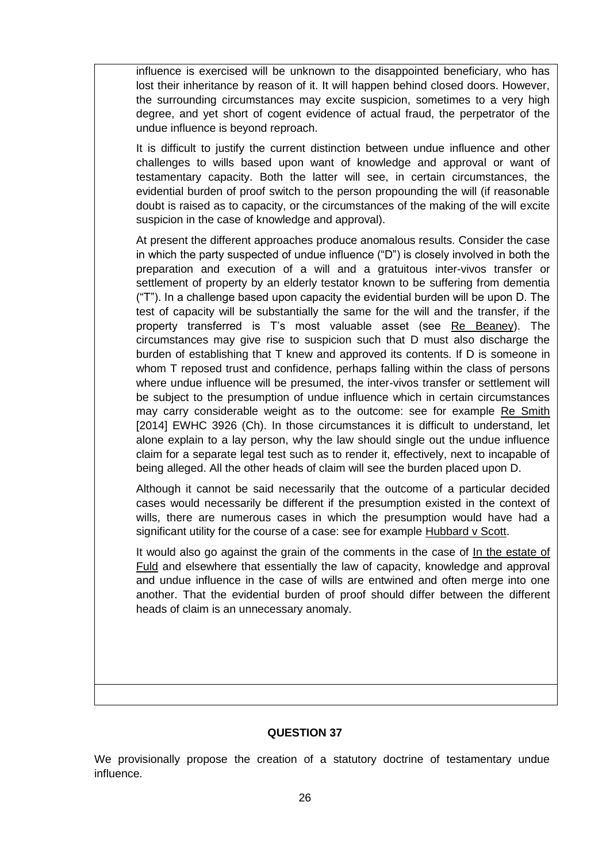influence is exercised will be unknown to the disappointed beneficiary, who has lost their inheritance by reason of it. It will happen behind closed doors. However, the surrounding circumstances may excite suspicion, sometimes to a very high degree, and yet short of cogent evidence of actual fraud, the perpetrator of the undue influence is beyond reproach.

It is difficult to justify the current distinction between undue influence and other challenges to wills based upon want of knowledge and approval or want of testamentary capacity. Both the latter will see, in certain circumstances, the evidential burden of proof switch to the person propounding the will (if reasonable doubt is raised as to capacity, or the circumstances of the making of the will excite suspicion in the case of knowledge and approval).

At present the different approaches produce anomalous results. Consider the case in which the party suspected of undue influence ("D") is closely involved in both the preparation and execution of a will and a gratuitous inter-vivos transfer or settlement of property by an elderly testator known to be suffering from dementia ("T"). In a challenge based upon capacity the evidential burden will be upon D. The test of capacity will be substantially the same for the will and the transfer, if the property transferred is T's most valuable asset (see Re Beaney). The circumstances may give rise to suspicion such that D must also discharge the burden of establishing that T knew and approved its contents. If D is someone in whom T reposed trust and confidence, perhaps falling within the class of persons where undue influence will be presumed, the inter-vivos transfer or settlement will be subject to the presumption of undue influence which in certain circumstances may carry considerable weight as to the outcome: see for example Re Smith [2014] EWHC 3926 (Ch). In those circumstances it is difficult to understand, let alone explain to a lay person, why the law should single out the undue influence claim for a separate legal test such as to render it, effectively, next to incapable of being alleged. All the other heads of claim will see the burden placed upon D.

Although it cannot be said necessarily that the outcome of a particular decided cases would necessarily be different if the presumption existed in the context of wills, there are numerous cases in which the presumption would have had a significant utility for the course of a case: see for example Hubbard v Scott.

It would also go against the grain of the comments in the case of In the estate of Fuld and elsewhere that essentially the law of capacity, knowledge and approval and undue influence in the case of wills are entwined and often merge into one another. That the evidential burden of proof should differ between the different heads of claim is an unnecessary anomaly.

#### **QUESTION 37**

We provisionally propose the creation of a statutory doctrine of testamentary undue influence.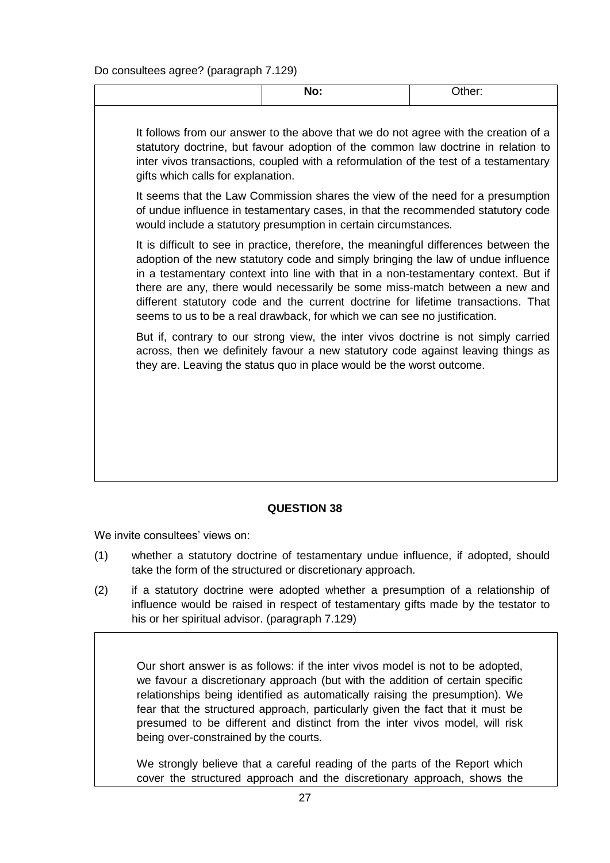Do consultees agree? (paragraph 7.129)

| $\sim$ $\sim$ $\sim$ $\sim$ $\sim$ $\sim$ |  |
|-------------------------------------------|--|
|                                           |  |

It follows from our answer to the above that we do not agree with the creation of a statutory doctrine, but favour adoption of the common law doctrine in relation to inter vivos transactions, coupled with a reformulation of the test of a testamentary gifts which calls for explanation.

It seems that the Law Commission shares the view of the need for a presumption of undue influence in testamentary cases, in that the recommended statutory code would include a statutory presumption in certain circumstances.

It is difficult to see in practice, therefore, the meaningful differences between the adoption of the new statutory code and simply bringing the law of undue influence in a testamentary context into line with that in a non-testamentary context. But if there are any, there would necessarily be some miss-match between a new and different statutory code and the current doctrine for lifetime transactions. That seems to us to be a real drawback, for which we can see no justification.

But if, contrary to our strong view, the inter vivos doctrine is not simply carried across, then we definitely favour a new statutory code against leaving things as they are. Leaving the status quo in place would be the worst outcome.

# **QUESTION 38**

We invite consultees' views on:

- (1) whether a statutory doctrine of testamentary undue influence, if adopted, should take the form of the structured or discretionary approach.
- (2) if a statutory doctrine were adopted whether a presumption of a relationship of influence would be raised in respect of testamentary gifts made by the testator to his or her spiritual advisor. (paragraph 7.129)

Our short answer is as follows: if the inter vivos model is not to be adopted, we favour a discretionary approach (but with the addition of certain specific relationships being identified as automatically raising the presumption). We fear that the structured approach, particularly given the fact that it must be presumed to be different and distinct from the inter vivos model, will risk being over-constrained by the courts.

We strongly believe that a careful reading of the parts of the Report which cover the structured approach and the discretionary approach, shows the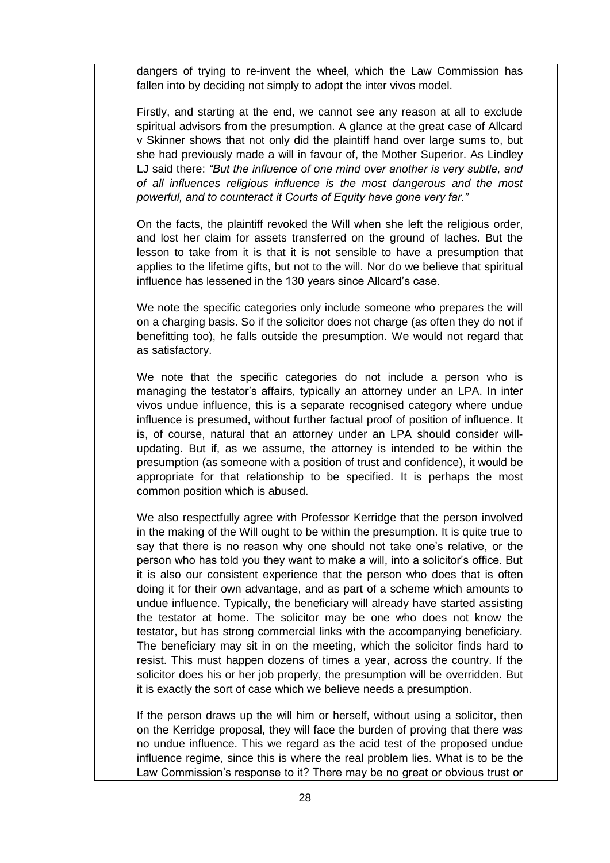dangers of trying to re-invent the wheel, which the Law Commission has fallen into by deciding not simply to adopt the inter vivos model.

Firstly, and starting at the end, we cannot see any reason at all to exclude spiritual advisors from the presumption. A glance at the great case of Allcard v Skinner shows that not only did the plaintiff hand over large sums to, but she had previously made a will in favour of, the Mother Superior. As Lindley LJ said there: *"But the influence of one mind over another is very subtle, and of all influences religious influence is the most dangerous and the most powerful, and to counteract it Courts of Equity have gone very far."*

On the facts, the plaintiff revoked the Will when she left the religious order, and lost her claim for assets transferred on the ground of laches. But the lesson to take from it is that it is not sensible to have a presumption that applies to the lifetime gifts, but not to the will. Nor do we believe that spiritual influence has lessened in the 130 years since Allcard's case.

We note the specific categories only include someone who prepares the will on a charging basis. So if the solicitor does not charge (as often they do not if benefitting too), he falls outside the presumption. We would not regard that as satisfactory.

We note that the specific categories do not include a person who is managing the testator's affairs, typically an attorney under an LPA. In inter vivos undue influence, this is a separate recognised category where undue influence is presumed, without further factual proof of position of influence. It is, of course, natural that an attorney under an LPA should consider willupdating. But if, as we assume, the attorney is intended to be within the presumption (as someone with a position of trust and confidence), it would be appropriate for that relationship to be specified. It is perhaps the most common position which is abused.

We also respectfully agree with Professor Kerridge that the person involved in the making of the Will ought to be within the presumption. It is quite true to say that there is no reason why one should not take one's relative, or the person who has told you they want to make a will, into a solicitor's office. But it is also our consistent experience that the person who does that is often doing it for their own advantage, and as part of a scheme which amounts to undue influence. Typically, the beneficiary will already have started assisting the testator at home. The solicitor may be one who does not know the testator, but has strong commercial links with the accompanying beneficiary. The beneficiary may sit in on the meeting, which the solicitor finds hard to resist. This must happen dozens of times a year, across the country. If the solicitor does his or her job properly, the presumption will be overridden. But it is exactly the sort of case which we believe needs a presumption.

If the person draws up the will him or herself, without using a solicitor, then on the Kerridge proposal, they will face the burden of proving that there was no undue influence. This we regard as the acid test of the proposed undue influence regime, since this is where the real problem lies. What is to be the Law Commission's response to it? There may be no great or obvious trust or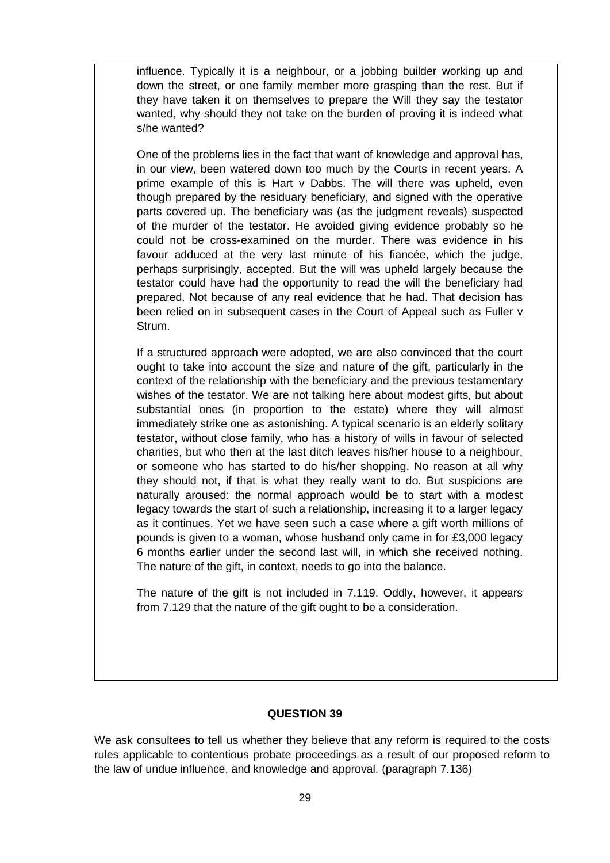influence. Typically it is a neighbour, or a jobbing builder working up and down the street, or one family member more grasping than the rest. But if they have taken it on themselves to prepare the Will they say the testator wanted, why should they not take on the burden of proving it is indeed what s/he wanted?

One of the problems lies in the fact that want of knowledge and approval has, in our view, been watered down too much by the Courts in recent years. A prime example of this is Hart v Dabbs. The will there was upheld, even though prepared by the residuary beneficiary, and signed with the operative parts covered up. The beneficiary was (as the judgment reveals) suspected of the murder of the testator. He avoided giving evidence probably so he could not be cross-examined on the murder. There was evidence in his favour adduced at the very last minute of his fiancée, which the judge, perhaps surprisingly, accepted. But the will was upheld largely because the testator could have had the opportunity to read the will the beneficiary had prepared. Not because of any real evidence that he had. That decision has been relied on in subsequent cases in the Court of Appeal such as Fuller v Strum.

If a structured approach were adopted, we are also convinced that the court ought to take into account the size and nature of the gift, particularly in the context of the relationship with the beneficiary and the previous testamentary wishes of the testator. We are not talking here about modest gifts, but about substantial ones (in proportion to the estate) where they will almost immediately strike one as astonishing. A typical scenario is an elderly solitary testator, without close family, who has a history of wills in favour of selected charities, but who then at the last ditch leaves his/her house to a neighbour, or someone who has started to do his/her shopping. No reason at all why they should not, if that is what they really want to do. But suspicions are naturally aroused: the normal approach would be to start with a modest legacy towards the start of such a relationship, increasing it to a larger legacy as it continues. Yet we have seen such a case where a gift worth millions of pounds is given to a woman, whose husband only came in for £3,000 legacy 6 months earlier under the second last will, in which she received nothing. The nature of the gift, in context, needs to go into the balance.

The nature of the gift is not included in 7.119. Oddly, however, it appears from 7.129 that the nature of the gift ought to be a consideration.

#### **QUESTION 39**

We ask consultees to tell us whether they believe that any reform is required to the costs rules applicable to contentious probate proceedings as a result of our proposed reform to the law of undue influence, and knowledge and approval. (paragraph 7.136)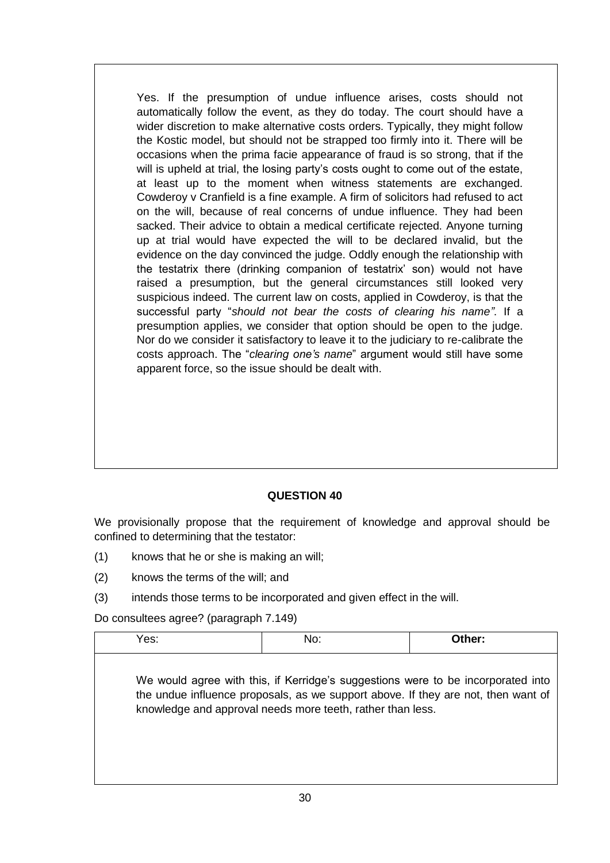Yes. If the presumption of undue influence arises, costs should not automatically follow the event, as they do today. The court should have a wider discretion to make alternative costs orders. Typically, they might follow the Kostic model, but should not be strapped too firmly into it. There will be occasions when the prima facie appearance of fraud is so strong, that if the will is upheld at trial, the losing party's costs ought to come out of the estate, at least up to the moment when witness statements are exchanged. Cowderoy v Cranfield is a fine example. A firm of solicitors had refused to act on the will, because of real concerns of undue influence. They had been sacked. Their advice to obtain a medical certificate rejected. Anyone turning up at trial would have expected the will to be declared invalid, but the evidence on the day convinced the judge. Oddly enough the relationship with the testatrix there (drinking companion of testatrix' son) would not have raised a presumption, but the general circumstances still looked very suspicious indeed. The current law on costs, applied in Cowderoy, is that the successful party "*should not bear the costs of clearing his name"*. If a presumption applies, we consider that option should be open to the judge. Nor do we consider it satisfactory to leave it to the judiciary to re-calibrate the costs approach. The "*clearing one's name*" argument would still have some apparent force, so the issue should be dealt with.

# **QUESTION 40**

We provisionally propose that the requirement of knowledge and approval should be confined to determining that the testator:

- (1) knows that he or she is making an will;
- (2) knows the terms of the will; and
- (3) intends those terms to be incorporated and given effect in the will.

Do consultees agree? (paragraph 7.149)

| Yes: | No:                                                                                                                                                                                                                                 | Other: |
|------|-------------------------------------------------------------------------------------------------------------------------------------------------------------------------------------------------------------------------------------|--------|
|      | We would agree with this, if Kerridge's suggestions were to be incorporated into<br>the undue influence proposals, as we support above. If they are not, then want of<br>knowledge and approval needs more teeth, rather than less. |        |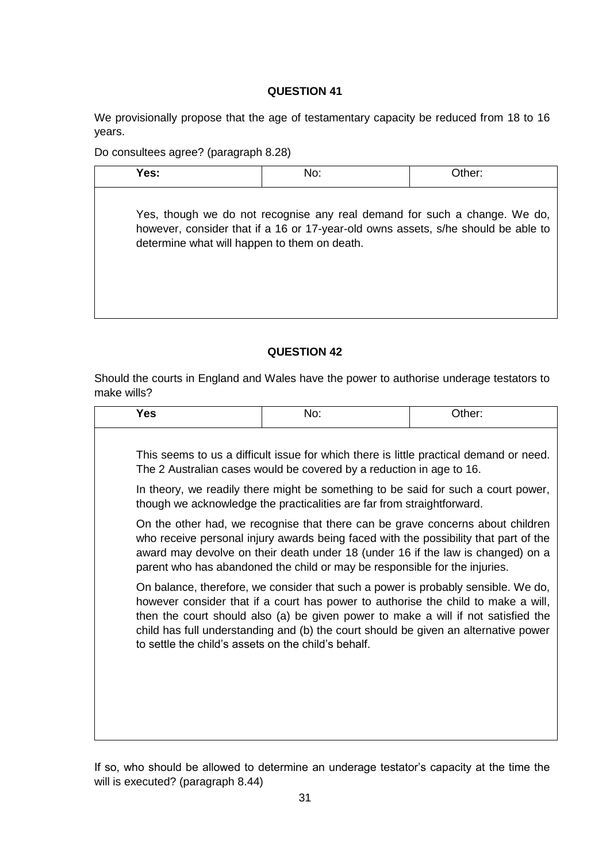We provisionally propose that the age of testamentary capacity be reduced from 18 to 16 years.

Do consultees agree? (paragraph 8.28)

| Yes:                                         | No:                                                                                                                                                            | Other: |
|----------------------------------------------|----------------------------------------------------------------------------------------------------------------------------------------------------------------|--------|
| determine what will happen to them on death. | Yes, though we do not recognise any real demand for such a change. We do,<br>however, consider that if a 16 or 17-year-old owns assets, s/he should be able to |        |

### **QUESTION 42**

Should the courts in England and Wales have the power to authorise underage testators to make wills?

| <b>Yes</b>                                          | No:                                                                                                                                                                                                                                                                                                                                                | Other: |
|-----------------------------------------------------|----------------------------------------------------------------------------------------------------------------------------------------------------------------------------------------------------------------------------------------------------------------------------------------------------------------------------------------------------|--------|
|                                                     | This seems to us a difficult issue for which there is little practical demand or need.<br>The 2 Australian cases would be covered by a reduction in age to 16.                                                                                                                                                                                     |        |
|                                                     | In theory, we readily there might be something to be said for such a court power,<br>though we acknowledge the practicalities are far from straightforward.                                                                                                                                                                                        |        |
|                                                     | On the other had, we recognise that there can be grave concerns about children<br>who receive personal injury awards being faced with the possibility that part of the<br>award may devolve on their death under 18 (under 16 if the law is changed) on a<br>parent who has abandoned the child or may be responsible for the injuries.            |        |
| to settle the child's assets on the child's behalf. | On balance, therefore, we consider that such a power is probably sensible. We do,<br>however consider that if a court has power to authorise the child to make a will,<br>then the court should also (a) be given power to make a will if not satisfied the<br>child has full understanding and (b) the court should be given an alternative power |        |

If so, who should be allowed to determine an underage testator's capacity at the time the will is executed? (paragraph 8.44)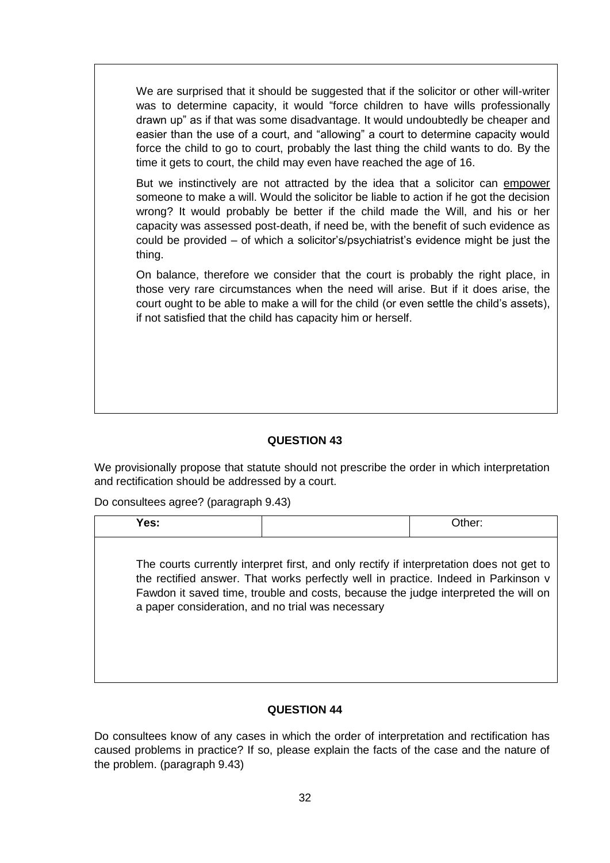We are surprised that it should be suggested that if the solicitor or other will-writer was to determine capacity, it would "force children to have wills professionally drawn up" as if that was some disadvantage. It would undoubtedly be cheaper and easier than the use of a court, and "allowing" a court to determine capacity would force the child to go to court, probably the last thing the child wants to do. By the time it gets to court, the child may even have reached the age of 16.

But we instinctively are not attracted by the idea that a solicitor can empower someone to make a will. Would the solicitor be liable to action if he got the decision wrong? It would probably be better if the child made the Will, and his or her capacity was assessed post-death, if need be, with the benefit of such evidence as could be provided – of which a solicitor's/psychiatrist's evidence might be just the thing.

On balance, therefore we consider that the court is probably the right place, in those very rare circumstances when the need will arise. But if it does arise, the court ought to be able to make a will for the child (or even settle the child's assets), if not satisfied that the child has capacity him or herself.

#### **QUESTION 43**

We provisionally propose that statute should not prescribe the order in which interpretation and rectification should be addressed by a court.

Do consultees agree? (paragraph 9.43)

| Yes:                                              |                                                                                                                                                                                                                                                                      | Other: |
|---------------------------------------------------|----------------------------------------------------------------------------------------------------------------------------------------------------------------------------------------------------------------------------------------------------------------------|--------|
| a paper consideration, and no trial was necessary | The courts currently interpret first, and only rectify if interpretation does not get to<br>the rectified answer. That works perfectly well in practice. Indeed in Parkinson v<br>Fawdon it saved time, trouble and costs, because the judge interpreted the will on |        |

#### **QUESTION 44**

Do consultees know of any cases in which the order of interpretation and rectification has caused problems in practice? If so, please explain the facts of the case and the nature of the problem. (paragraph 9.43)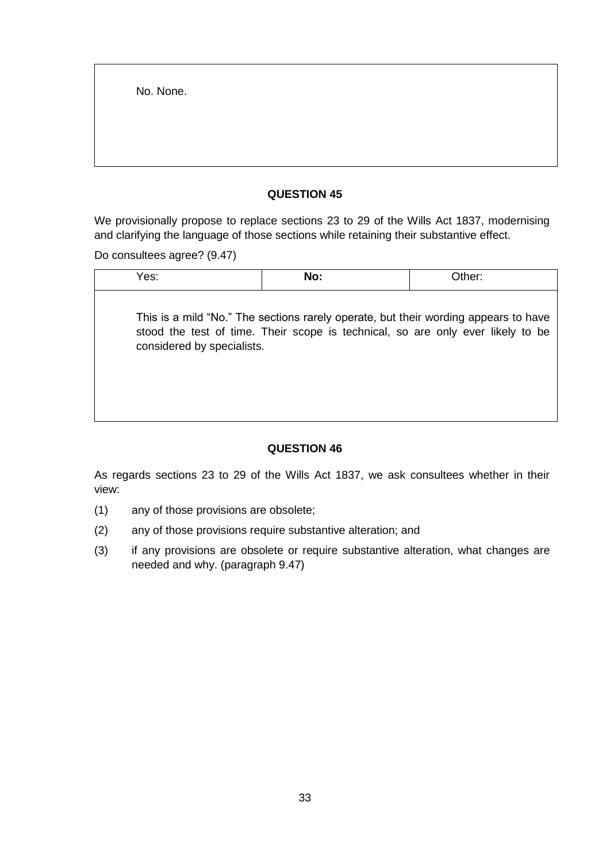No. None.

### **QUESTION 45**

We provisionally propose to replace sections 23 to 29 of the Wills Act 1837, modernising and clarifying the language of those sections while retaining their substantive effect.

Do consultees agree? (9.47)

| Yes:                       | No:                                                                                                                                                                    | Other: |
|----------------------------|------------------------------------------------------------------------------------------------------------------------------------------------------------------------|--------|
| considered by specialists. | This is a mild "No." The sections rarely operate, but their wording appears to have<br>stood the test of time. Their scope is technical, so are only ever likely to be |        |

# **QUESTION 46**

As regards sections 23 to 29 of the Wills Act 1837, we ask consultees whether in their view:

- (1) any of those provisions are obsolete;
- (2) any of those provisions require substantive alteration; and
- (3) if any provisions are obsolete or require substantive alteration, what changes are needed and why. (paragraph 9.47)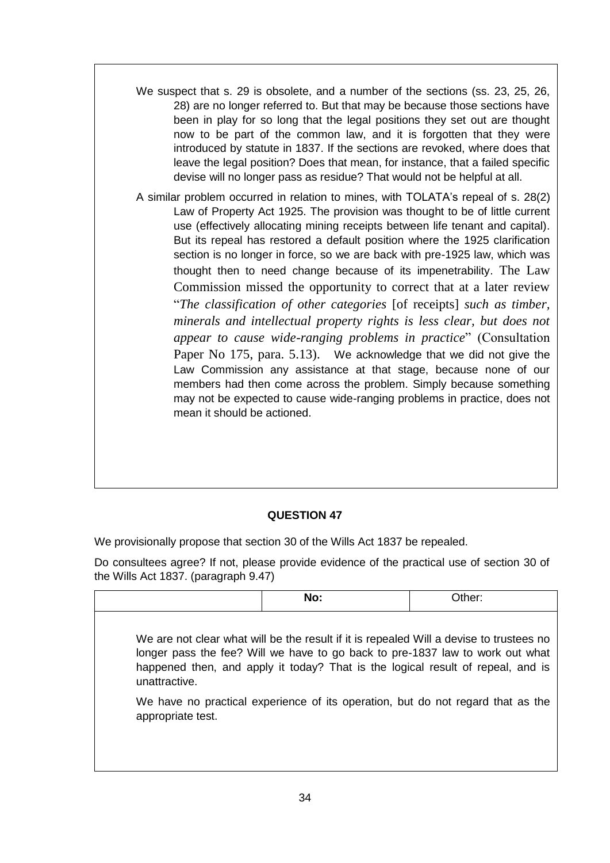- We suspect that s. 29 is obsolete, and a number of the sections (ss. 23, 25, 26, 28) are no longer referred to. But that may be because those sections have been in play for so long that the legal positions they set out are thought now to be part of the common law, and it is forgotten that they were introduced by statute in 1837. If the sections are revoked, where does that leave the legal position? Does that mean, for instance, that a failed specific devise will no longer pass as residue? That would not be helpful at all.
- A similar problem occurred in relation to mines, with TOLATA's repeal of s. 28(2) Law of Property Act 1925. The provision was thought to be of little current use (effectively allocating mining receipts between life tenant and capital). But its repeal has restored a default position where the 1925 clarification section is no longer in force, so we are back with pre-1925 law, which was thought then to need change because of its impenetrability. The Law Commission missed the opportunity to correct that at a later review "*The classification of other categories* [of receipts] *such as timber, minerals and intellectual property rights is less clear, but does not appear to cause wide-ranging problems in practice*" (Consultation Paper No 175, para. 5.13). We acknowledge that we did not give the Law Commission any assistance at that stage, because none of our members had then come across the problem. Simply because something may not be expected to cause wide-ranging problems in practice, does not mean it should be actioned.

We provisionally propose that section 30 of the Wills Act 1837 be repealed.

Do consultees agree? If not, please provide evidence of the practical use of section 30 of the Wills Act 1837. (paragraph 9.47)

|                   | No: | Other:                                                                                                                                                                                                                                                      |
|-------------------|-----|-------------------------------------------------------------------------------------------------------------------------------------------------------------------------------------------------------------------------------------------------------------|
| unattractive.     |     | We are not clear what will be the result if it is repealed Will a devise to trustees no<br>longer pass the fee? Will we have to go back to pre-1837 law to work out what<br>happened then, and apply it today? That is the logical result of repeal, and is |
| appropriate test. |     | We have no practical experience of its operation, but do not regard that as the                                                                                                                                                                             |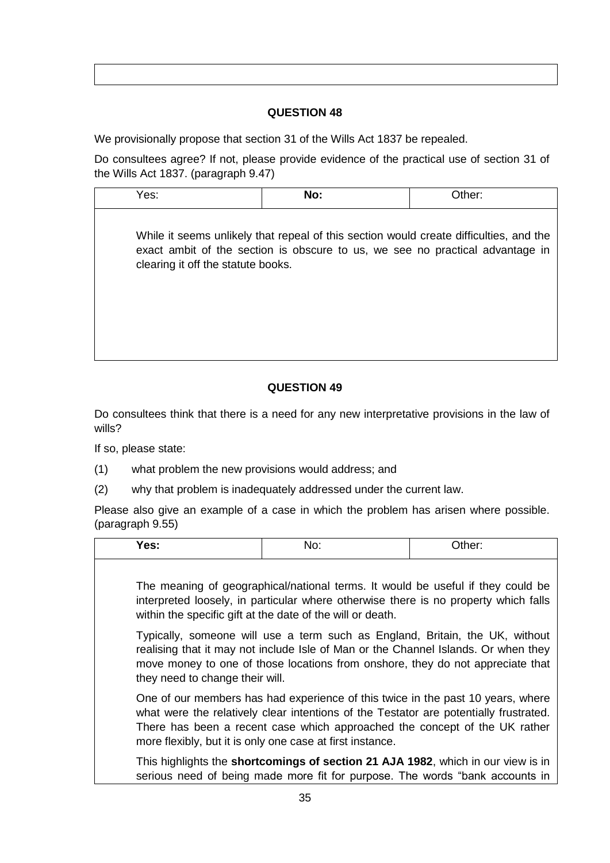We provisionally propose that section 31 of the Wills Act 1837 be repealed.

Do consultees agree? If not, please provide evidence of the practical use of section 31 of the Wills Act 1837. (paragraph 9.47)

Yes: **No:** Other: While it seems unlikely that repeal of this section would create difficulties, and the exact ambit of the section is obscure to us, we see no practical advantage in clearing it off the statute books.

# **QUESTION 49**

Do consultees think that there is a need for any new interpretative provisions in the law of wills?

If so, please state:

- (1) what problem the new provisions would address; and
- (2) why that problem is inadequately addressed under the current law.

Please also give an example of a case in which the problem has arisen where possible. (paragraph 9.55)

| Yes:                            | No:                                                                                                                                                                                                                                                                                                                 | Other: |
|---------------------------------|---------------------------------------------------------------------------------------------------------------------------------------------------------------------------------------------------------------------------------------------------------------------------------------------------------------------|--------|
|                                 | The meaning of geographical/national terms. It would be useful if they could be<br>interpreted loosely, in particular where otherwise there is no property which falls<br>within the specific gift at the date of the will or death.                                                                                |        |
| they need to change their will. | Typically, someone will use a term such as England, Britain, the UK, without<br>realising that it may not include Isle of Man or the Channel Islands. Or when they<br>move money to one of those locations from onshore, they do not appreciate that                                                                |        |
|                                 | One of our members has had experience of this twice in the past 10 years, where<br>what were the relatively clear intentions of the Testator are potentially frustrated.<br>There has been a recent case which approached the concept of the UK rather<br>more flexibly, but it is only one case at first instance. |        |
|                                 | This highlights the shortcomings of section 21 AJA 1982, which in our view is in<br>serious need of being made more fit for purpose. The words "bank accounts in                                                                                                                                                    |        |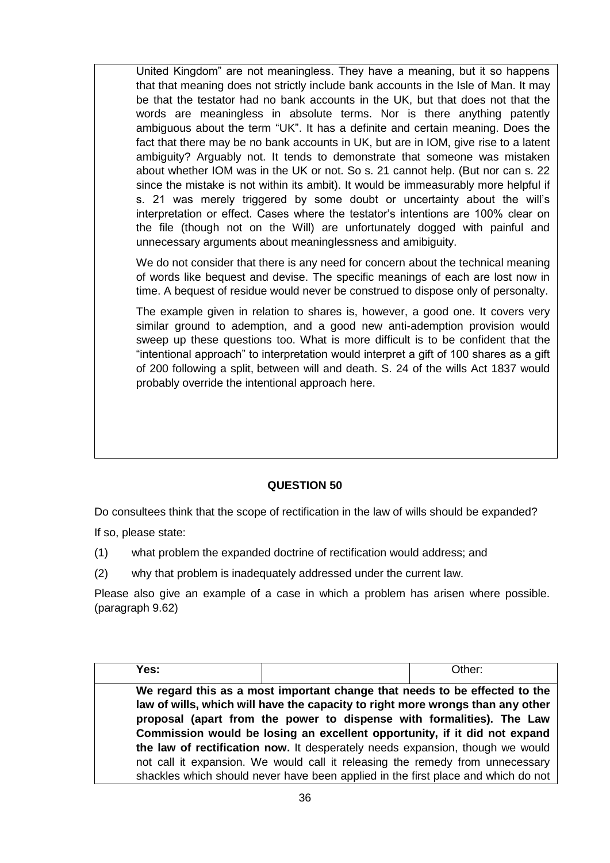United Kingdom" are not meaningless. They have a meaning, but it so happens that that meaning does not strictly include bank accounts in the Isle of Man. It may be that the testator had no bank accounts in the UK, but that does not that the words are meaningless in absolute terms. Nor is there anything patently ambiguous about the term "UK". It has a definite and certain meaning. Does the fact that there may be no bank accounts in UK, but are in IOM, give rise to a latent ambiguity? Arguably not. It tends to demonstrate that someone was mistaken about whether IOM was in the UK or not. So s. 21 cannot help. (But nor can s. 22 since the mistake is not within its ambit). It would be immeasurably more helpful if s. 21 was merely triggered by some doubt or uncertainty about the will's interpretation or effect. Cases where the testator's intentions are 100% clear on the file (though not on the Will) are unfortunately dogged with painful and unnecessary arguments about meaninglessness and amibiguity.

We do not consider that there is any need for concern about the technical meaning of words like bequest and devise. The specific meanings of each are lost now in time. A bequest of residue would never be construed to dispose only of personalty.

The example given in relation to shares is, however, a good one. It covers very similar ground to ademption, and a good new anti-ademption provision would sweep up these questions too. What is more difficult is to be confident that the "intentional approach" to interpretation would interpret a gift of 100 shares as a gift of 200 following a split, between will and death. S. 24 of the wills Act 1837 would probably override the intentional approach here.

# **QUESTION 50**

Do consultees think that the scope of rectification in the law of wills should be expanded?

If so, please state:

- (1) what problem the expanded doctrine of rectification would address; and
- (2) why that problem is inadequately addressed under the current law.

Please also give an example of a case in which a problem has arisen where possible. (paragraph 9.62)

| Yes: |                                                                                                                                                                                                                                       | Other: |
|------|---------------------------------------------------------------------------------------------------------------------------------------------------------------------------------------------------------------------------------------|--------|
|      | We regard this as a most important change that needs to be effected to the<br>law of wills, which will have the capacity to right more wrongs than any other<br>proposal (apart from the power to dispense with formalities). The Law |        |
|      | Commission would be losing an excellent opportunity, if it did not expand                                                                                                                                                             |        |
|      | the law of rectification now. It desperately needs expansion, though we would                                                                                                                                                         |        |
|      | not call it expansion. We would call it releasing the remedy from unnecessary                                                                                                                                                         |        |
|      | shackles which should never have been applied in the first place and which do not                                                                                                                                                     |        |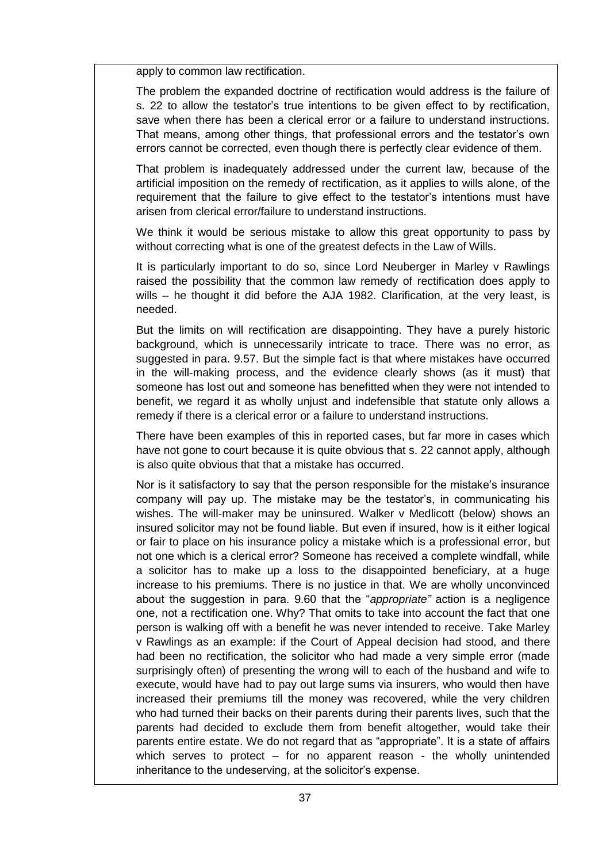apply to common law rectification.

The problem the expanded doctrine of rectification would address is the failure of s. 22 to allow the testator's true intentions to be given effect to by rectification, save when there has been a clerical error or a failure to understand instructions. That means, among other things, that professional errors and the testator's own errors cannot be corrected, even though there is perfectly clear evidence of them.

That problem is inadequately addressed under the current law, because of the artificial imposition on the remedy of rectification, as it applies to wills alone, of the requirement that the failure to give effect to the testator's intentions must have arisen from clerical error/failure to understand instructions.

We think it would be serious mistake to allow this great opportunity to pass by without correcting what is one of the greatest defects in the Law of Wills.

It is particularly important to do so, since Lord Neuberger in Marley v Rawlings raised the possibility that the common law remedy of rectification does apply to wills – he thought it did before the AJA 1982. Clarification, at the very least, is needed.

But the limits on will rectification are disappointing. They have a purely historic background, which is unnecessarily intricate to trace. There was no error, as suggested in para. 9.57. But the simple fact is that where mistakes have occurred in the will-making process, and the evidence clearly shows (as it must) that someone has lost out and someone has benefitted when they were not intended to benefit, we regard it as wholly unjust and indefensible that statute only allows a remedy if there is a clerical error or a failure to understand instructions.

There have been examples of this in reported cases, but far more in cases which have not gone to court because it is quite obvious that s. 22 cannot apply, although is also quite obvious that that a mistake has occurred.

Nor is it satisfactory to say that the person responsible for the mistake's insurance company will pay up. The mistake may be the testator's, in communicating his wishes. The will-maker may be uninsured. Walker v Medlicott (below) shows an insured solicitor may not be found liable. But even if insured, how is it either logical or fair to place on his insurance policy a mistake which is a professional error, but not one which is a clerical error? Someone has received a complete windfall, while a solicitor has to make up a loss to the disappointed beneficiary, at a huge increase to his premiums. There is no justice in that. We are wholly unconvinced about the suggestion in para. 9.60 that the "*appropriate"* action is a negligence one, not a rectification one. Why? That omits to take into account the fact that one person is walking off with a benefit he was never intended to receive. Take Marley v Rawlings as an example: if the Court of Appeal decision had stood, and there had been no rectification, the solicitor who had made a very simple error (made surprisingly often) of presenting the wrong will to each of the husband and wife to execute, would have had to pay out large sums via insurers, who would then have increased their premiums till the money was recovered, while the very children who had turned their backs on their parents during their parents lives, such that the parents had decided to exclude them from benefit altogether, would take their parents entire estate. We do not regard that as "appropriate". It is a state of affairs which serves to protect – for no apparent reason - the wholly unintended inheritance to the undeserving, at the solicitor's expense.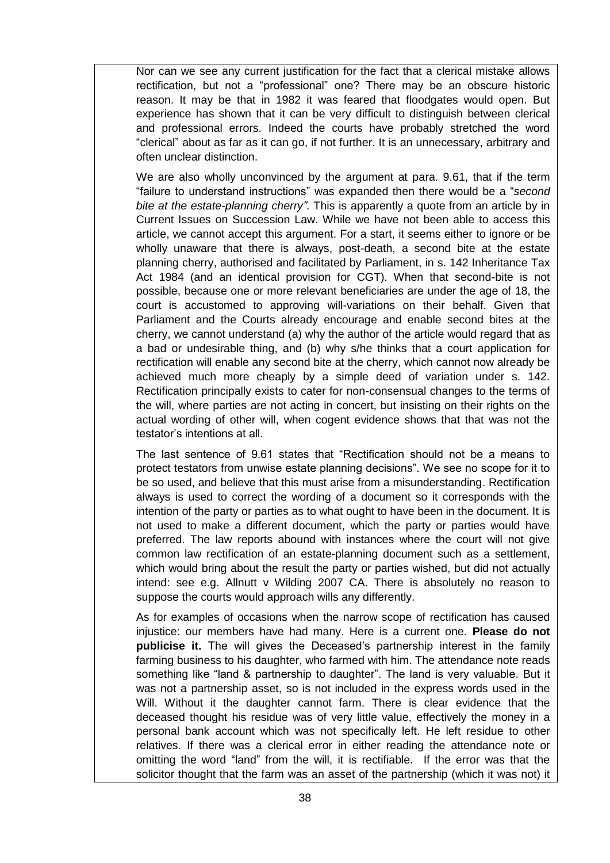Nor can we see any current justification for the fact that a clerical mistake allows rectification, but not a "professional" one? There may be an obscure historic reason. It may be that in 1982 it was feared that floodgates would open. But experience has shown that it can be very difficult to distinguish between clerical and professional errors. Indeed the courts have probably stretched the word "clerical" about as far as it can go, if not further. It is an unnecessary, arbitrary and often unclear distinction.

We are also wholly unconvinced by the argument at para. 9.61, that if the term "failure to understand instructions" was expanded then there would be a "*second bite at the estate-planning cherry"*. This is apparently a quote from an article by in Current Issues on Succession Law. While we have not been able to access this article, we cannot accept this argument. For a start, it seems either to ignore or be wholly unaware that there is always, post-death, a second bite at the estate planning cherry, authorised and facilitated by Parliament, in s. 142 Inheritance Tax Act 1984 (and an identical provision for CGT). When that second-bite is not possible, because one or more relevant beneficiaries are under the age of 18, the court is accustomed to approving will-variations on their behalf. Given that Parliament and the Courts already encourage and enable second bites at the cherry, we cannot understand (a) why the author of the article would regard that as a bad or undesirable thing, and (b) why s/he thinks that a court application for rectification will enable any second bite at the cherry, which cannot now already be achieved much more cheaply by a simple deed of variation under s. 142. Rectification principally exists to cater for non-consensual changes to the terms of the will, where parties are not acting in concert, but insisting on their rights on the actual wording of other will, when cogent evidence shows that that was not the testator's intentions at all.

The last sentence of 9.61 states that "Rectification should not be a means to protect testators from unwise estate planning decisions". We see no scope for it to be so used, and believe that this must arise from a misunderstanding. Rectification always is used to correct the wording of a document so it corresponds with the intention of the party or parties as to what ought to have been in the document. It is not used to make a different document, which the party or parties would have preferred. The law reports abound with instances where the court will not give common law rectification of an estate-planning document such as a settlement, which would bring about the result the party or parties wished, but did not actually intend: see e.g. Allnutt v Wilding 2007 CA. There is absolutely no reason to suppose the courts would approach wills any differently.

As for examples of occasions when the narrow scope of rectification has caused injustice: our members have had many. Here is a current one. **Please do not publicise it.** The will gives the Deceased's partnership interest in the family farming business to his daughter, who farmed with him. The attendance note reads something like "land & partnership to daughter". The land is very valuable. But it was not a partnership asset, so is not included in the express words used in the Will. Without it the daughter cannot farm. There is clear evidence that the deceased thought his residue was of very little value, effectively the money in a personal bank account which was not specifically left. He left residue to other relatives. If there was a clerical error in either reading the attendance note or omitting the word "land" from the will, it is rectifiable. If the error was that the solicitor thought that the farm was an asset of the partnership (which it was not) it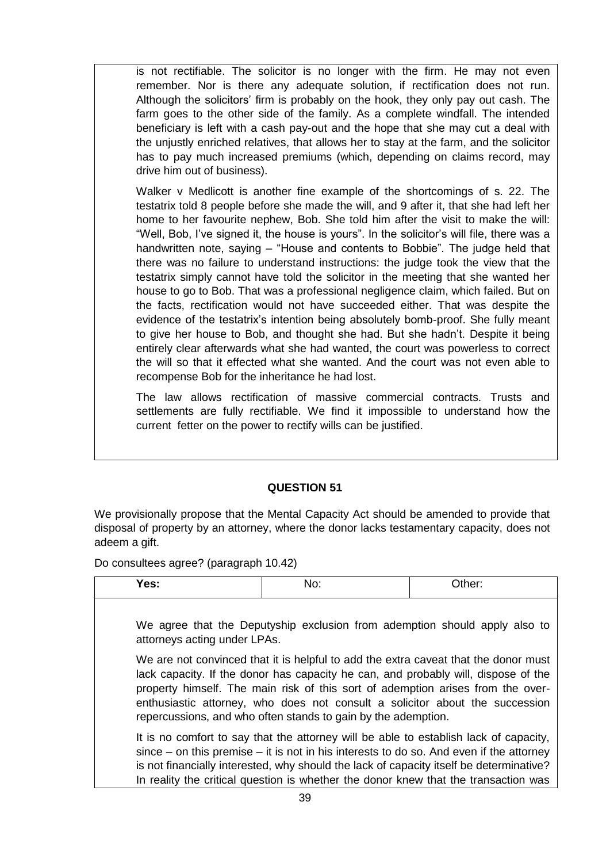is not rectifiable. The solicitor is no longer with the firm. He may not even remember. Nor is there any adequate solution, if rectification does not run. Although the solicitors' firm is probably on the hook, they only pay out cash. The farm goes to the other side of the family. As a complete windfall. The intended beneficiary is left with a cash pay-out and the hope that she may cut a deal with the unjustly enriched relatives, that allows her to stay at the farm, and the solicitor has to pay much increased premiums (which, depending on claims record, may drive him out of business).

Walker v Medlicott is another fine example of the shortcomings of s. 22. The testatrix told 8 people before she made the will, and 9 after it, that she had left her home to her favourite nephew, Bob. She told him after the visit to make the will: "Well, Bob, I've signed it, the house is yours". In the solicitor's will file, there was a handwritten note, saying – "House and contents to Bobbie". The judge held that there was no failure to understand instructions: the judge took the view that the testatrix simply cannot have told the solicitor in the meeting that she wanted her house to go to Bob. That was a professional negligence claim, which failed. But on the facts, rectification would not have succeeded either. That was despite the evidence of the testatrix's intention being absolutely bomb-proof. She fully meant to give her house to Bob, and thought she had. But she hadn't. Despite it being entirely clear afterwards what she had wanted, the court was powerless to correct the will so that it effected what she wanted. And the court was not even able to recompense Bob for the inheritance he had lost.

The law allows rectification of massive commercial contracts. Trusts and settlements are fully rectifiable. We find it impossible to understand how the current fetter on the power to rectify wills can be justified.

# **QUESTION 51**

We provisionally propose that the Mental Capacity Act should be amended to provide that disposal of property by an attorney, where the donor lacks testamentary capacity, does not adeem a gift.

Do consultees agree? (paragraph 10.42)

| Yes:                         | No:                                                                                                                                                                                                                                                                                                                                                                                                           | Other: |
|------------------------------|---------------------------------------------------------------------------------------------------------------------------------------------------------------------------------------------------------------------------------------------------------------------------------------------------------------------------------------------------------------------------------------------------------------|--------|
| attorneys acting under LPAs. | We agree that the Deputyship exclusion from ademption should apply also to                                                                                                                                                                                                                                                                                                                                    |        |
|                              | We are not convinced that it is helpful to add the extra caveat that the donor must<br>lack capacity. If the donor has capacity he can, and probably will, dispose of the<br>property himself. The main risk of this sort of ademption arises from the over-<br>enthusiastic attorney, who does not consult a solicitor about the succession<br>repercussions, and who often stands to gain by the ademption. |        |
|                              | It is no comfort to say that the attorney will be able to establish lack of capacity,<br>$since - on this premise - it is not in his interests to do so. And even if the attempt$<br>is not financially interested, why should the lack of capacity itself be determinative?<br>In reality the critical question is whether the donor knew that the transaction was                                           |        |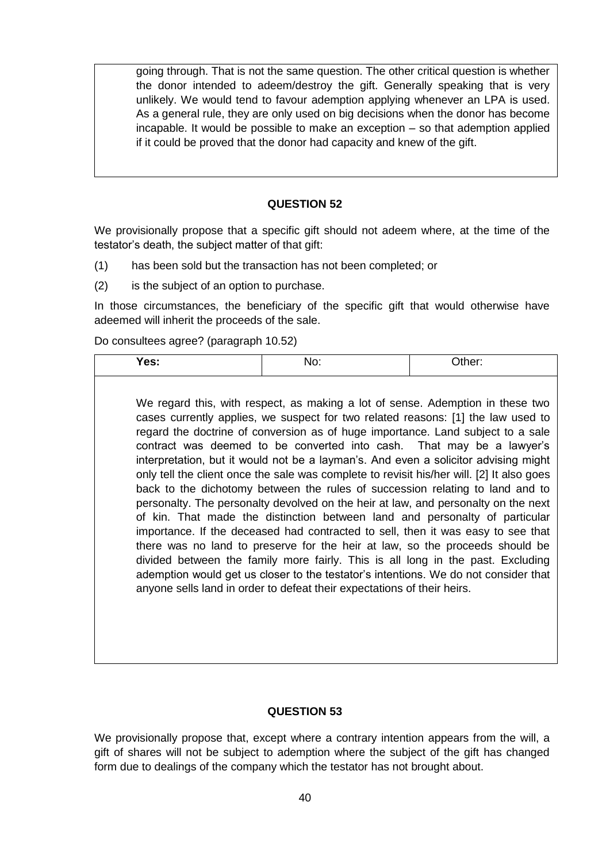going through. That is not the same question. The other critical question is whether the donor intended to adeem/destroy the gift. Generally speaking that is very unlikely. We would tend to favour ademption applying whenever an LPA is used. As a general rule, they are only used on big decisions when the donor has become incapable. It would be possible to make an exception – so that ademption applied if it could be proved that the donor had capacity and knew of the gift.

#### **QUESTION 52**

We provisionally propose that a specific gift should not adeem where, at the time of the testator's death, the subject matter of that gift:

- (1) has been sold but the transaction has not been completed; or
- (2) is the subject of an option to purchase.

In those circumstances, the beneficiary of the specific gift that would otherwise have adeemed will inherit the proceeds of the sale.

Do consultees agree? (paragraph 10.52)

| es: |  |
|-----|--|
|-----|--|

We regard this, with respect, as making a lot of sense. Ademption in these two cases currently applies, we suspect for two related reasons: [1] the law used to regard the doctrine of conversion as of huge importance. Land subject to a sale contract was deemed to be converted into cash. That may be a lawyer's interpretation, but it would not be a layman's. And even a solicitor advising might only tell the client once the sale was complete to revisit his/her will. [2] It also goes back to the dichotomy between the rules of succession relating to land and to personalty. The personalty devolved on the heir at law, and personalty on the next of kin. That made the distinction between land and personalty of particular importance. If the deceased had contracted to sell, then it was easy to see that there was no land to preserve for the heir at law, so the proceeds should be divided between the family more fairly. This is all long in the past. Excluding ademption would get us closer to the testator's intentions. We do not consider that anyone sells land in order to defeat their expectations of their heirs.

#### **QUESTION 53**

We provisionally propose that, except where a contrary intention appears from the will, a gift of shares will not be subject to ademption where the subject of the gift has changed form due to dealings of the company which the testator has not brought about.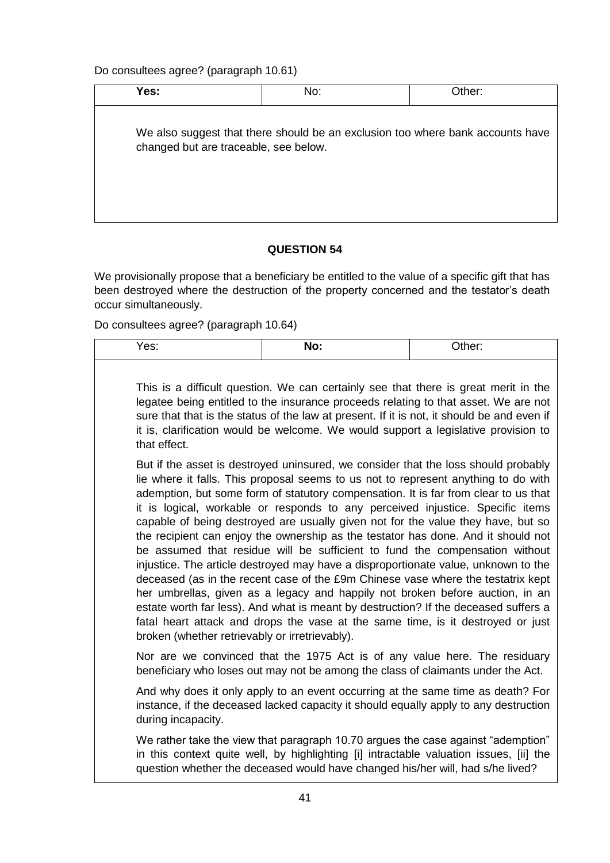Do consultees agree? (paragraph 10.61)

| Yes:                                  | No:                                                                            | Other: |
|---------------------------------------|--------------------------------------------------------------------------------|--------|
| changed but are traceable, see below. | We also suggest that there should be an exclusion too where bank accounts have |        |

# **QUESTION 54**

We provisionally propose that a beneficiary be entitled to the value of a specific gift that has been destroyed where the destruction of the property concerned and the testator's death occur simultaneously.

Do consultees agree? (paragraph 10.64)

| Yes:                                           | No:                                                                                                                                                                                                                                                                                                                                                                                                                                                                                                                                                                                                                                                                                                                                                                                                                                                                                                                                                                                                                                            | Other: |  |
|------------------------------------------------|------------------------------------------------------------------------------------------------------------------------------------------------------------------------------------------------------------------------------------------------------------------------------------------------------------------------------------------------------------------------------------------------------------------------------------------------------------------------------------------------------------------------------------------------------------------------------------------------------------------------------------------------------------------------------------------------------------------------------------------------------------------------------------------------------------------------------------------------------------------------------------------------------------------------------------------------------------------------------------------------------------------------------------------------|--------|--|
| that effect.                                   | This is a difficult question. We can certainly see that there is great merit in the<br>legatee being entitled to the insurance proceeds relating to that asset. We are not<br>sure that that is the status of the law at present. If it is not, it should be and even if<br>it is, clarification would be welcome. We would support a legislative provision to                                                                                                                                                                                                                                                                                                                                                                                                                                                                                                                                                                                                                                                                                 |        |  |
| broken (whether retrievably or irretrievably). | But if the asset is destroyed uninsured, we consider that the loss should probably<br>lie where it falls. This proposal seems to us not to represent anything to do with<br>ademption, but some form of statutory compensation. It is far from clear to us that<br>it is logical, workable or responds to any perceived injustice. Specific items<br>capable of being destroyed are usually given not for the value they have, but so<br>the recipient can enjoy the ownership as the testator has done. And it should not<br>be assumed that residue will be sufficient to fund the compensation without<br>injustice. The article destroyed may have a disproportionate value, unknown to the<br>deceased (as in the recent case of the £9m Chinese vase where the testatrix kept<br>her umbrellas, given as a legacy and happily not broken before auction, in an<br>estate worth far less). And what is meant by destruction? If the deceased suffers a<br>fatal heart attack and drops the vase at the same time, is it destroyed or just |        |  |
|                                                | Nor are we convinced that the 1975 Act is of any value here. The residuary<br>beneficiary who loses out may not be among the class of claimants under the Act.                                                                                                                                                                                                                                                                                                                                                                                                                                                                                                                                                                                                                                                                                                                                                                                                                                                                                 |        |  |
| during incapacity.                             | And why does it only apply to an event occurring at the same time as death? For<br>instance, if the deceased lacked capacity it should equally apply to any destruction                                                                                                                                                                                                                                                                                                                                                                                                                                                                                                                                                                                                                                                                                                                                                                                                                                                                        |        |  |
|                                                | We rather take the view that paragraph 10.70 argues the case against "ademption"<br>in this context quite well, by highlighting [i] intractable valuation issues, [ii] the<br>question whether the deceased would have changed his/her will, had s/he lived?                                                                                                                                                                                                                                                                                                                                                                                                                                                                                                                                                                                                                                                                                                                                                                                   |        |  |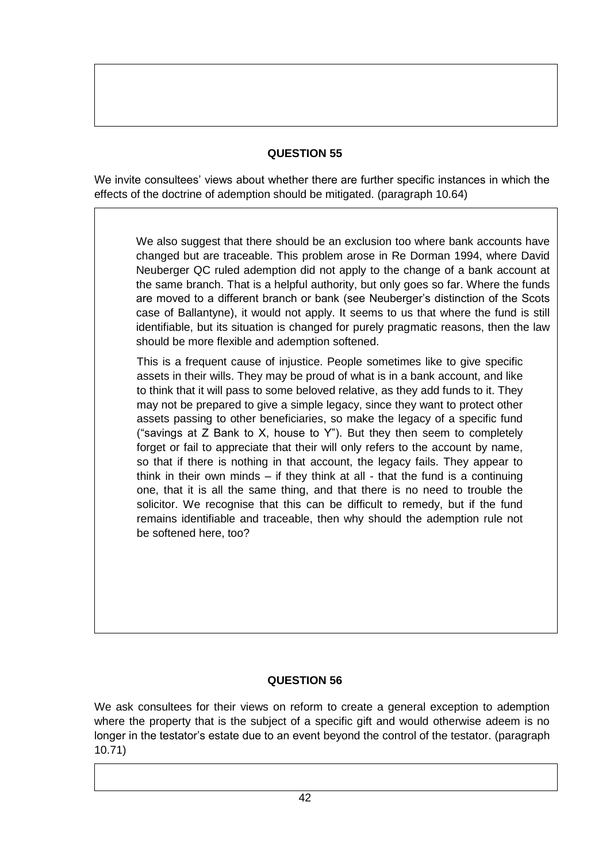We invite consultees' views about whether there are further specific instances in which the effects of the doctrine of ademption should be mitigated. (paragraph 10.64)

We also suggest that there should be an exclusion too where bank accounts have changed but are traceable. This problem arose in Re Dorman 1994, where David Neuberger QC ruled ademption did not apply to the change of a bank account at the same branch. That is a helpful authority, but only goes so far. Where the funds are moved to a different branch or bank (see Neuberger's distinction of the Scots case of Ballantyne), it would not apply. It seems to us that where the fund is still identifiable, but its situation is changed for purely pragmatic reasons, then the law should be more flexible and ademption softened.

This is a frequent cause of injustice. People sometimes like to give specific assets in their wills. They may be proud of what is in a bank account, and like to think that it will pass to some beloved relative, as they add funds to it. They may not be prepared to give a simple legacy, since they want to protect other assets passing to other beneficiaries, so make the legacy of a specific fund ("savings at Z Bank to X, house to Y"). But they then seem to completely forget or fail to appreciate that their will only refers to the account by name, so that if there is nothing in that account, the legacy fails. They appear to think in their own minds  $-$  if they think at all - that the fund is a continuing one, that it is all the same thing, and that there is no need to trouble the solicitor. We recognise that this can be difficult to remedy, but if the fund remains identifiable and traceable, then why should the ademption rule not be softened here, too?

# **QUESTION 56**

We ask consultees for their views on reform to create a general exception to ademption where the property that is the subject of a specific gift and would otherwise adeem is no longer in the testator's estate due to an event beyond the control of the testator. (paragraph 10.71)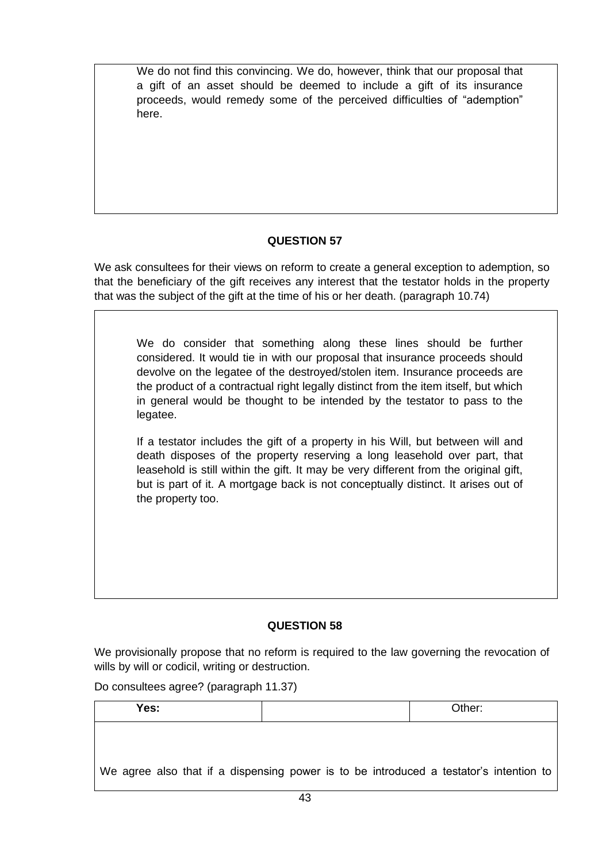We do not find this convincing. We do, however, think that our proposal that a gift of an asset should be deemed to include a gift of its insurance proceeds, would remedy some of the perceived difficulties of "ademption" here.

# **QUESTION 57**

We ask consultees for their views on reform to create a general exception to ademption, so that the beneficiary of the gift receives any interest that the testator holds in the property that was the subject of the gift at the time of his or her death. (paragraph 10.74)

We do consider that something along these lines should be further considered. It would tie in with our proposal that insurance proceeds should devolve on the legatee of the destroyed/stolen item. Insurance proceeds are the product of a contractual right legally distinct from the item itself, but which in general would be thought to be intended by the testator to pass to the legatee.

If a testator includes the gift of a property in his Will, but between will and death disposes of the property reserving a long leasehold over part, that leasehold is still within the gift. It may be very different from the original gift, but is part of it. A mortgage back is not conceptually distinct. It arises out of the property too.

# **QUESTION 58**

We provisionally propose that no reform is required to the law governing the revocation of wills by will or codicil, writing or destruction.

Do consultees agree? (paragraph 11.37)

| Yes: | Other:                                                                                 |  |
|------|----------------------------------------------------------------------------------------|--|
|      |                                                                                        |  |
|      |                                                                                        |  |
|      | We agree also that if a dispensing power is to be introduced a testator's intention to |  |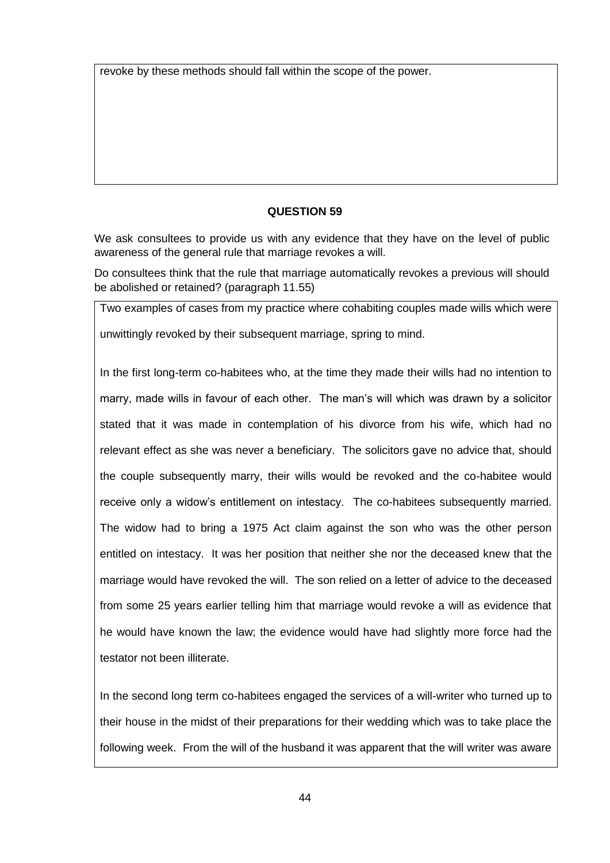revoke by these methods should fall within the scope of the power.

### **QUESTION 59**

We ask consultees to provide us with any evidence that they have on the level of public awareness of the general rule that marriage revokes a will.

Do consultees think that the rule that marriage automatically revokes a previous will should be abolished or retained? (paragraph 11.55)

Two examples of cases from my practice where cohabiting couples made wills which were unwittingly revoked by their subsequent marriage, spring to mind.

In the first long-term co-habitees who, at the time they made their wills had no intention to marry, made wills in favour of each other. The man's will which was drawn by a solicitor stated that it was made in contemplation of his divorce from his wife, which had no relevant effect as she was never a beneficiary. The solicitors gave no advice that, should the couple subsequently marry, their wills would be revoked and the co-habitee would receive only a widow's entitlement on intestacy. The co-habitees subsequently married. The widow had to bring a 1975 Act claim against the son who was the other person entitled on intestacy. It was her position that neither she nor the deceased knew that the marriage would have revoked the will. The son relied on a letter of advice to the deceased from some 25 years earlier telling him that marriage would revoke a will as evidence that he would have known the law; the evidence would have had slightly more force had the testator not been illiterate.

In the second long term co-habitees engaged the services of a will-writer who turned up to their house in the midst of their preparations for their wedding which was to take place the following week. From the will of the husband it was apparent that the will writer was aware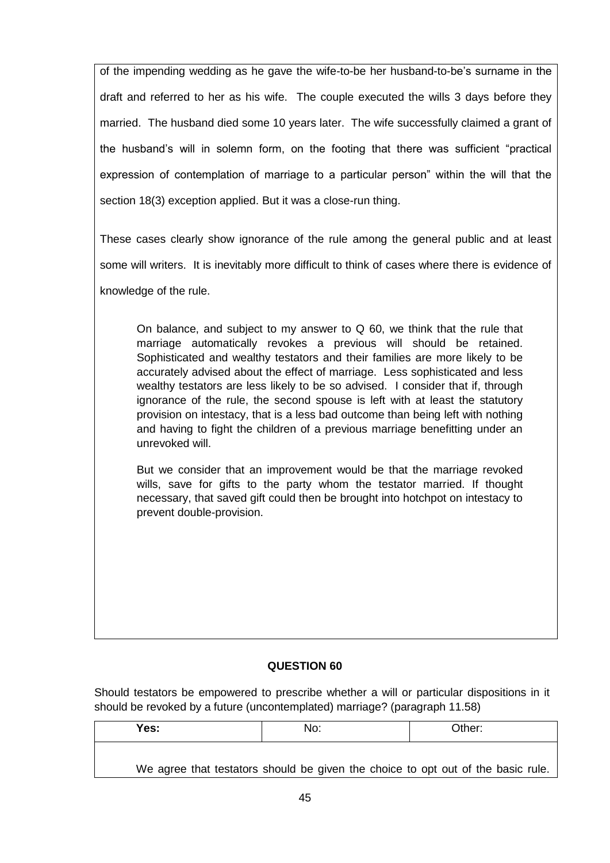of the impending wedding as he gave the wife-to-be her husband-to-be's surname in the draft and referred to her as his wife. The couple executed the wills 3 days before they married. The husband died some 10 years later. The wife successfully claimed a grant of the husband's will in solemn form, on the footing that there was sufficient "practical expression of contemplation of marriage to a particular person" within the will that the section 18(3) exception applied. But it was a close-run thing.

These cases clearly show ignorance of the rule among the general public and at least some will writers. It is inevitably more difficult to think of cases where there is evidence of knowledge of the rule.

On balance, and subject to my answer to Q 60, we think that the rule that marriage automatically revokes a previous will should be retained. Sophisticated and wealthy testators and their families are more likely to be accurately advised about the effect of marriage. Less sophisticated and less wealthy testators are less likely to be so advised. I consider that if, through ignorance of the rule, the second spouse is left with at least the statutory provision on intestacy, that is a less bad outcome than being left with nothing and having to fight the children of a previous marriage benefitting under an unrevoked will.

But we consider that an improvement would be that the marriage revoked wills, save for gifts to the party whom the testator married. If thought necessary, that saved gift could then be brought into hotchpot on intestacy to prevent double-provision.

# **QUESTION 60**

Should testators be empowered to prescribe whether a will or particular dispositions in it should be revoked by a future (uncontemplated) marriage? (paragraph 11.58)

| Yes: | No:                                                                              | Other: |
|------|----------------------------------------------------------------------------------|--------|
|      | We agree that testators should be given the choice to opt out of the basic rule. |        |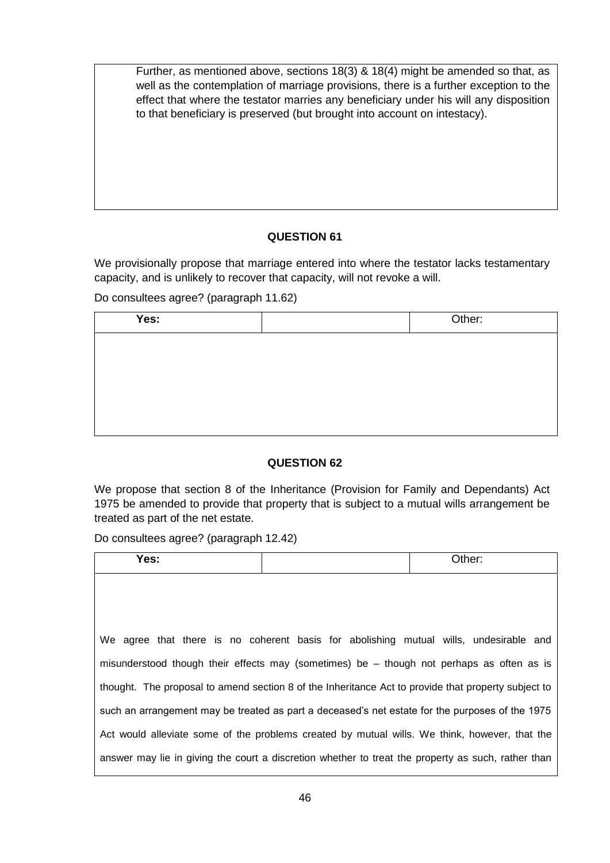Further, as mentioned above, sections 18(3) & 18(4) might be amended so that, as well as the contemplation of marriage provisions, there is a further exception to the effect that where the testator marries any beneficiary under his will any disposition to that beneficiary is preserved (but brought into account on intestacy).

# **QUESTION 61**

We provisionally propose that marriage entered into where the testator lacks testamentary capacity, and is unlikely to recover that capacity, will not revoke a will.

Do consultees agree? (paragraph 11.62)

| Yes: | Other: |
|------|--------|
|      |        |
|      |        |
|      |        |
|      |        |
|      |        |

# **QUESTION 62**

We propose that section 8 of the Inheritance (Provision for Family and Dependants) Act 1975 be amended to provide that property that is subject to a mutual wills arrangement be treated as part of the net estate.

Do consultees agree? (paragraph 12.42)

| Yes:                                                                                                | Other: |
|-----------------------------------------------------------------------------------------------------|--------|
|                                                                                                     |        |
|                                                                                                     |        |
|                                                                                                     |        |
| We agree that there is no coherent basis for abolishing mutual wills, undesirable and               |        |
| misunderstood though their effects may (sometimes) be - though not perhaps as often as is           |        |
| thought. The proposal to amend section 8 of the Inheritance Act to provide that property subject to |        |
| such an arrangement may be treated as part a deceased's net estate for the purposes of the 1975     |        |
| Act would alleviate some of the problems created by mutual wills. We think, however, that the       |        |
| answer may lie in giving the court a discretion whether to treat the property as such, rather than  |        |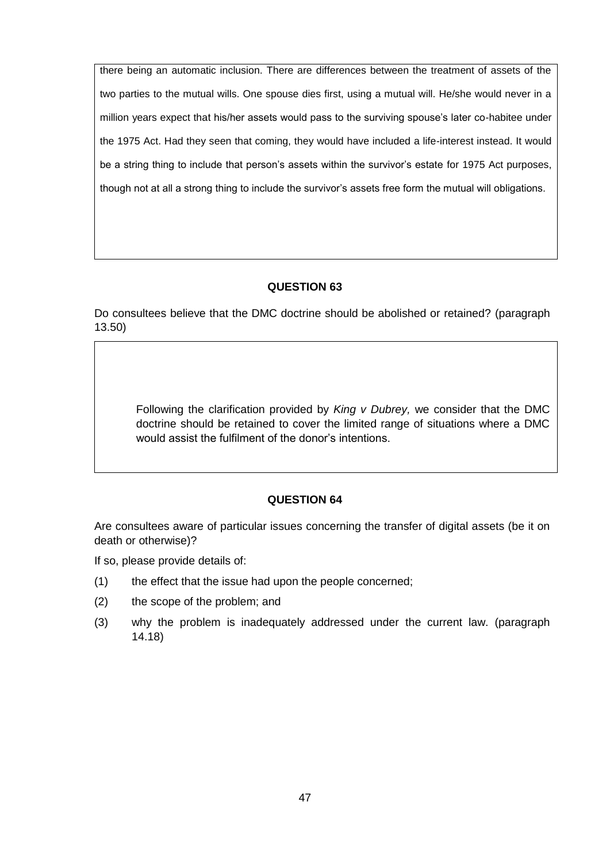there being an automatic inclusion. There are differences between the treatment of assets of the two parties to the mutual wills. One spouse dies first, using a mutual will. He/she would never in a million years expect that his/her assets would pass to the surviving spouse's later co-habitee under the 1975 Act. Had they seen that coming, they would have included a life-interest instead. It would be a string thing to include that person's assets within the survivor's estate for 1975 Act purposes, though not at all a strong thing to include the survivor's assets free form the mutual will obligations.

# **QUESTION 63**

Do consultees believe that the DMC doctrine should be abolished or retained? (paragraph 13.50)

Following the clarification provided by *King v Dubrey,* we consider that the DMC doctrine should be retained to cover the limited range of situations where a DMC would assist the fulfilment of the donor's intentions.

#### **QUESTION 64**

Are consultees aware of particular issues concerning the transfer of digital assets (be it on death or otherwise)?

If so, please provide details of:

- (1) the effect that the issue had upon the people concerned;
- (2) the scope of the problem; and
- (3) why the problem is inadequately addressed under the current law. (paragraph 14.18)